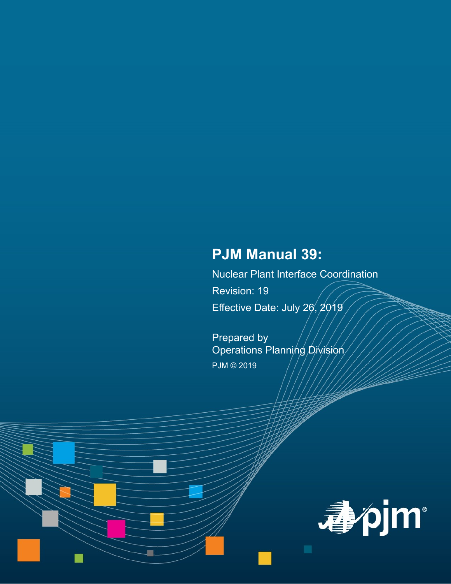# **PJM Manual 39:**

Nuclear Plant Interface Coordination Revision: 19 Effective Date: July 26, 2019

Prepared by Operations Planning Division PJM © 2019

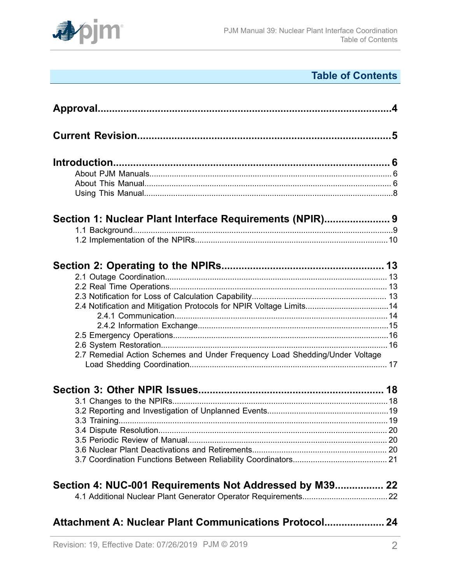

# **Table of Contents**

| Section 1: Nuclear Plant Interface Requirements (NPIR) 9<br>2.4 Notification and Mitigation Protocols for NPIR Voltage Limits14<br>2.7 Remedial Action Schemes and Under Frequency Load Shedding/Under Voltage<br>Section 4: NUC-001 Requirements Not Addressed by M39 22<br>Attachment A: Nuclear Plant Communications Protocol 24 |  |
|-------------------------------------------------------------------------------------------------------------------------------------------------------------------------------------------------------------------------------------------------------------------------------------------------------------------------------------|--|
|                                                                                                                                                                                                                                                                                                                                     |  |
|                                                                                                                                                                                                                                                                                                                                     |  |
|                                                                                                                                                                                                                                                                                                                                     |  |
|                                                                                                                                                                                                                                                                                                                                     |  |
|                                                                                                                                                                                                                                                                                                                                     |  |
|                                                                                                                                                                                                                                                                                                                                     |  |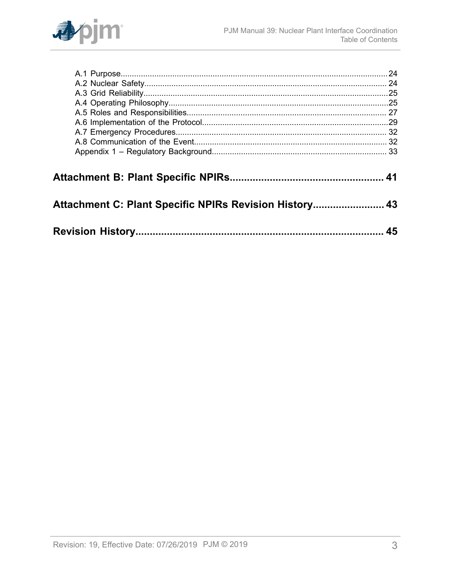

| Attachment C: Plant Specific NPIRs Revision History 43 |    |
|--------------------------------------------------------|----|
|                                                        |    |
|                                                        | 45 |
|                                                        |    |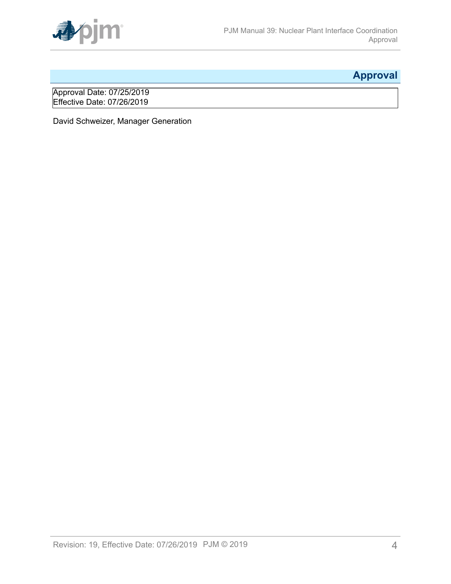

# <span id="page-3-0"></span>**Approval**

Approval Date: 07/25/2019 Effective Date: 07/26/2019

David Schweizer, Manager Generation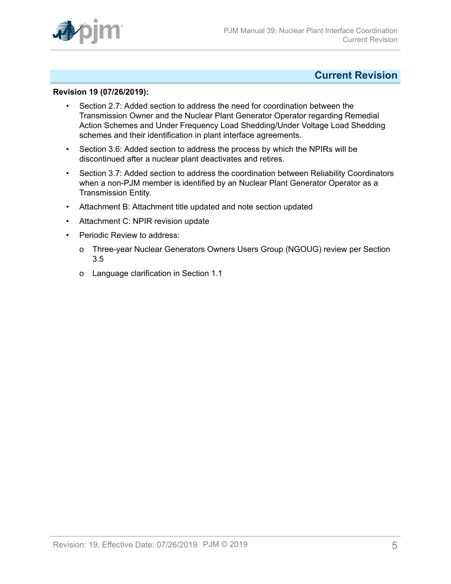

## <span id="page-4-0"></span>**Current Revision**

### **Revision 19 (07/26/2019):**

- Section 2.7: Added section to address the need for coordination between the Transmission Owner and the Nuclear Plant Generator Operator regarding Remedial Action Schemes and Under Frequency Load Shedding/Under Voltage Load Shedding schemes and their identification in plant interface agreements.
- Section 3.6: Added section to address the process by which the NPIRs will be discontinued after a nuclear plant deactivates and retires.
- Section 3.7: Added section to address the coordination between Reliability Coordinators when a non-PJM member is identified by an Nuclear Plant Generator Operator as a Transmission Entity.
- Attachment B: Attachment title updated and note section updated
- Attachment C: NPIR revision update
- Periodic Review to address:
	- o Three-year Nuclear Generators Owners Users Group (NGOUG) review per Section 3.5
	- o Language clarification in Section 1.1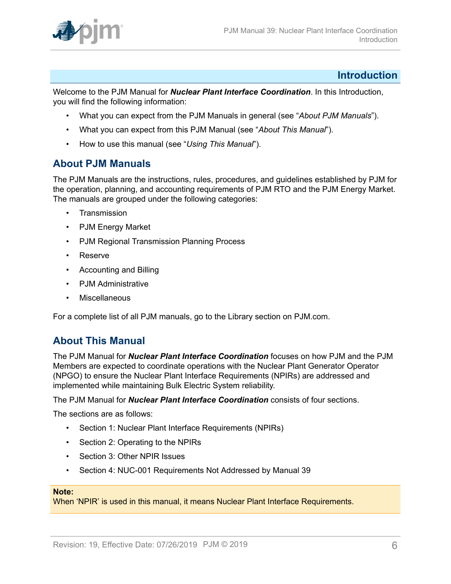

## <span id="page-5-0"></span>**Introduction**

Welcome to the PJM Manual for *Nuclear Plant Interface Coordination*. In this Introduction, you will find the following information:

- What you can expect from the PJM Manuals in general (see "*About PJM Manuals*").
- What you can expect from this PJM Manual (see "*About This Manual*").
- How to use this manual (see "*Using This Manual*").

## <span id="page-5-1"></span>**About PJM Manuals**

The PJM Manuals are the instructions, rules, procedures, and guidelines established by PJM for the operation, planning, and accounting requirements of PJM RTO and the PJM Energy Market. The manuals are grouped under the following categories:

- **Transmission**
- PJM Energy Market
- PJM Regional Transmission Planning Process
- Reserve
- Accounting and Billing
- PJM Administrative
- **Miscellaneous**

For a complete list of all PJM manuals, go to the Library section on PJM.com.

## <span id="page-5-2"></span>**About This Manual**

The PJM Manual for *Nuclear Plant Interface Coordination* focuses on how PJM and the PJM Members are expected to coordinate operations with the Nuclear Plant Generator Operator (NPGO) to ensure the Nuclear Plant Interface Requirements (NPIRs) are addressed and implemented while maintaining Bulk Electric System reliability.

The PJM Manual for *Nuclear Plant Interface Coordination* consists of four sections.

The sections are as follows:

- Section 1: Nuclear Plant Interface Requirements (NPIRs)
- Section 2: Operating to the NPIRs
- Section 3: Other NPIR Issues
- Section 4: NUC-001 Requirements Not Addressed by Manual 39

#### **Note:**

When 'NPIR' is used in this manual, it means Nuclear Plant Interface Requirements.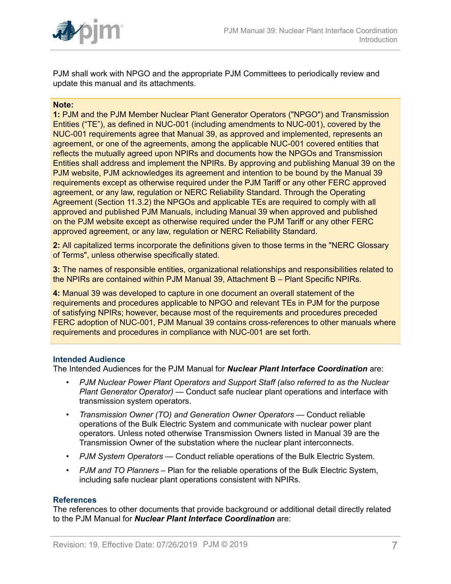

PJM shall work with NPGO and the appropriate PJM Committees to periodically review and update this manual and its attachments.

#### **Note:**

**1:** PJM and the PJM Member Nuclear Plant Generator Operators ("NPGO") and Transmission Entities ("TE"), as defined in NUC-001 (including amendments to NUC-001), covered by the NUC-001 requirements agree that Manual 39, as approved and implemented, represents an agreement, or one of the agreements, among the applicable NUC-001 covered entities that reflects the mutually agreed upon NPIRs and documents how the NPGOs and Transmission Entities shall address and implement the NPIRs. By approving and publishing Manual 39 on the PJM website, PJM acknowledges its agreement and intention to be bound by the Manual 39 requirements except as otherwise required under the PJM Tariff or any other FERC approved agreement, or any law, regulation or NERC Reliability Standard. Through the Operating Agreement (Section 11.3.2) the NPGOs and applicable TEs are required to comply with all approved and published PJM Manuals, including Manual 39 when approved and published on the PJM website except as otherwise required under the PJM Tariff or any other FERC approved agreement, or any law, regulation or NERC Reliability Standard.

**2:** All capitalized terms incorporate the definitions given to those terms in the "NERC Glossary of Terms", unless otherwise specifically stated.

**3:** The names of responsible entities, organizational relationships and responsibilities related to the NPIRs are contained within PJM Manual 39, Attachment B – Plant Specific NPIRs.

**4:** Manual 39 was developed to capture in one document an overall statement of the requirements and procedures applicable to NPGO and relevant TEs in PJM for the purpose of satisfying NPIRs; however, because most of the requirements and procedures preceded FERC adoption of NUC-001, PJM Manual 39 contains cross-references to other manuals where requirements and procedures in compliance with NUC-001 are set forth.

#### **Intended Audience**

The Intended Audiences for the PJM Manual for *Nuclear Plant Interface Coordination* are:

- *PJM Nuclear Power Plant Operators and Support Staff (also referred to as the Nuclear Plant Generator Operator)* — Conduct safe nuclear plant operations and interface with transmission system operators.
- *Transmission Owner (TO) and Generation Owner Operators* Conduct reliable operations of the Bulk Electric System and communicate with nuclear power plant operators. Unless noted otherwise Transmission Owners listed in Manual 39 are the Transmission Owner of the substation where the nuclear plant interconnects.
- *PJM System Operators* Conduct reliable operations of the Bulk Electric System.
- *PJM and TO Planners* Plan for the reliable operations of the Bulk Electric System, including safe nuclear plant operations consistent with NPIRs.

#### **References**

The references to other documents that provide background or additional detail directly related to the PJM Manual for *Nuclear Plant Interface Coordination* are: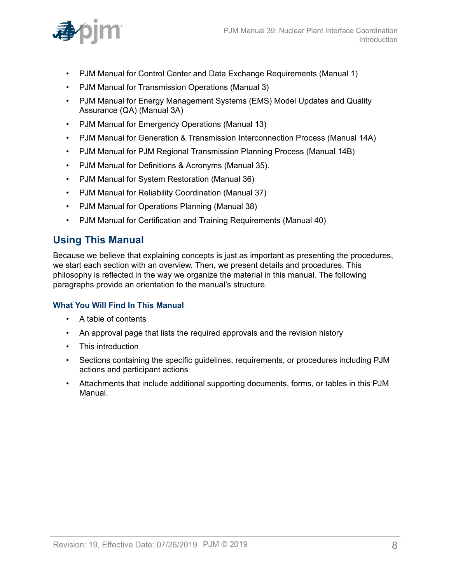

- PJM Manual for Control Center and Data Exchange Requirements (Manual 1)
- PJM Manual for Transmission Operations (Manual 3)
- PJM Manual for Energy Management Systems (EMS) Model Updates and Quality Assurance (QA) (Manual 3A)
- PJM Manual for Emergency Operations (Manual 13)
- PJM Manual for Generation & Transmission Interconnection Process (Manual 14A)
- PJM Manual for PJM Regional Transmission Planning Process (Manual 14B)
- PJM Manual for Definitions & Acronyms (Manual 35).
- PJM Manual for System Restoration (Manual 36)
- PJM Manual for Reliability Coordination (Manual 37)
- PJM Manual for Operations Planning (Manual 38)
- PJM Manual for Certification and Training Requirements (Manual 40)

## <span id="page-7-0"></span>**Using This Manual**

Because we believe that explaining concepts is just as important as presenting the procedures, we start each section with an overview. Then, we present details and procedures. This philosophy is reflected in the way we organize the material in this manual. The following paragraphs provide an orientation to the manual's structure.

## **What You Will Find In This Manual**

- A table of contents
- An approval page that lists the required approvals and the revision history
- This introduction
- Sections containing the specific guidelines, requirements, or procedures including PJM actions and participant actions
- Attachments that include additional supporting documents, forms, or tables in this PJM Manual.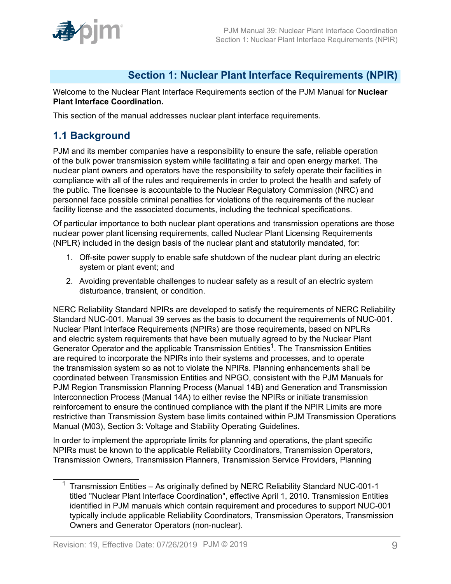

## <span id="page-8-0"></span>**Section 1: Nuclear Plant Interface Requirements (NPIR)**

Welcome to the Nuclear Plant Interface Requirements section of the PJM Manual for **Nuclear Plant Interface Coordination.**

This section of the manual addresses nuclear plant interface requirements.

## <span id="page-8-1"></span>**1.1 Background**

PJM and its member companies have a responsibility to ensure the safe, reliable operation of the bulk power transmission system while facilitating a fair and open energy market. The nuclear plant owners and operators have the responsibility to safely operate their facilities in compliance with all of the rules and requirements in order to protect the health and safety of the public. The licensee is accountable to the Nuclear Regulatory Commission (NRC) and personnel face possible criminal penalties for violations of the requirements of the nuclear facility license and the associated documents, including the technical specifications.

Of particular importance to both nuclear plant operations and transmission operations are those nuclear power plant licensing requirements, called Nuclear Plant Licensing Requirements (NPLR) included in the design basis of the nuclear plant and statutorily mandated, for:

- 1. Off-site power supply to enable safe shutdown of the nuclear plant during an electric system or plant event; and
- 2. Avoiding preventable challenges to nuclear safety as a result of an electric system disturbance, transient, or condition.

NERC Reliability Standard NPIRs are developed to satisfy the requirements of NERC Reliability Standard NUC-001. Manual 39 serves as the basis to document the requirements of NUC-001. Nuclear Plant Interface Requirements (NPIRs) are those requirements, based on NPLRs and electric system requirements that have been mutually agreed to by the Nuclear Plant Generator Operator and the applicable Transmission Entities<sup>1</sup>. The Transmission Entities are required to incorporate the NPIRs into their systems and processes, and to operate the transmission system so as not to violate the NPIRs. Planning enhancements shall be coordinated between Transmission Entities and NPGO, consistent with the PJM Manuals for PJM Region Transmission Planning Process (Manual 14B) and Generation and Transmission Interconnection Process (Manual 14A) to either revise the NPIRs or initiate transmission reinforcement to ensure the continued compliance with the plant if the NPIR Limits are more restrictive than Transmission System base limits contained within PJM Transmission Operations Manual (M03), Section 3: Voltage and Stability Operating Guidelines.

In order to implement the appropriate limits for planning and operations, the plant specific NPIRs must be known to the applicable Reliability Coordinators, Transmission Operators, Transmission Owners, Transmission Planners, Transmission Service Providers, Planning

<sup>&</sup>lt;sup>1</sup> Transmission Entities – As originally defined by NERC Reliability Standard NUC-001-1 titled "Nuclear Plant Interface Coordination", effective April 1, 2010. Transmission Entities identified in PJM manuals which contain requirement and procedures to support NUC-001 typically include applicable Reliability Coordinators, Transmission Operators, Transmission Owners and Generator Operators (non-nuclear).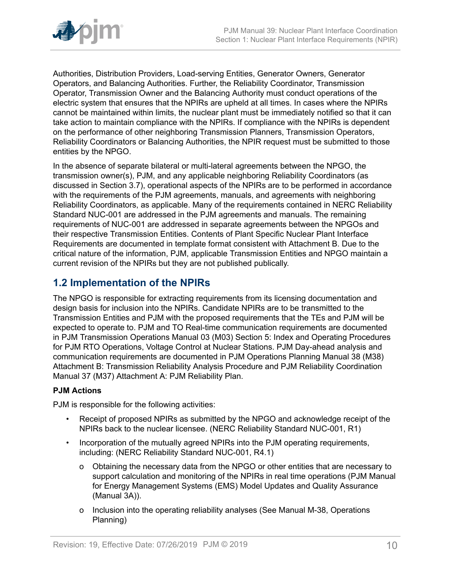

Authorities, Distribution Providers, Load-serving Entities, Generator Owners, Generator Operators, and Balancing Authorities. Further, the Reliability Coordinator, Transmission Operator, Transmission Owner and the Balancing Authority must conduct operations of the electric system that ensures that the NPIRs are upheld at all times. In cases where the NPIRs cannot be maintained within limits, the nuclear plant must be immediately notified so that it can take action to maintain compliance with the NPIRs. If compliance with the NPIRs is dependent on the performance of other neighboring Transmission Planners, Transmission Operators, Reliability Coordinators or Balancing Authorities, the NPIR request must be submitted to those entities by the NPGO.

In the absence of separate bilateral or multi-lateral agreements between the NPGO, the transmission owner(s), PJM, and any applicable neighboring Reliability Coordinators (as discussed in Section 3.7), operational aspects of the NPIRs are to be performed in accordance with the requirements of the PJM agreements, manuals, and agreements with neighboring Reliability Coordinators, as applicable. Many of the requirements contained in NERC Reliability Standard NUC-001 are addressed in the PJM agreements and manuals. The remaining requirements of NUC-001 are addressed in separate agreements between the NPGOs and their respective Transmission Entities. Contents of Plant Specific Nuclear Plant Interface Requirements are documented in template format consistent with Attachment B. Due to the critical nature of the information, PJM, applicable Transmission Entities and NPGO maintain a current revision of the NPIRs but they are not published publically.

## <span id="page-9-0"></span>**1.2 Implementation of the NPIRs**

The NPGO is responsible for extracting requirements from its licensing documentation and design basis for inclusion into the NPIRs. Candidate NPIRs are to be transmitted to the Transmission Entities and PJM with the proposed requirements that the TEs and PJM will be expected to operate to. PJM and TO Real-time communication requirements are documented in PJM Transmission Operations Manual 03 (M03) Section 5: Index and Operating Procedures for PJM RTO Operations, Voltage Control at Nuclear Stations. PJM Day-ahead analysis and communication requirements are documented in PJM Operations Planning Manual 38 (M38) Attachment B: Transmission Reliability Analysis Procedure and PJM Reliability Coordination Manual 37 (M37) Attachment A: PJM Reliability Plan.

## **PJM Actions**

PJM is responsible for the following activities:

- Receipt of proposed NPIRs as submitted by the NPGO and acknowledge receipt of the NPIRs back to the nuclear licensee. (NERC Reliability Standard NUC-001, R1)
- Incorporation of the mutually agreed NPIRs into the PJM operating requirements, including: (NERC Reliability Standard NUC-001, R4.1)
	- o Obtaining the necessary data from the NPGO or other entities that are necessary to support calculation and monitoring of the NPIRs in real time operations (PJM Manual for Energy Management Systems (EMS) Model Updates and Quality Assurance (Manual 3A)).
	- o Inclusion into the operating reliability analyses (See Manual M-38, Operations Planning)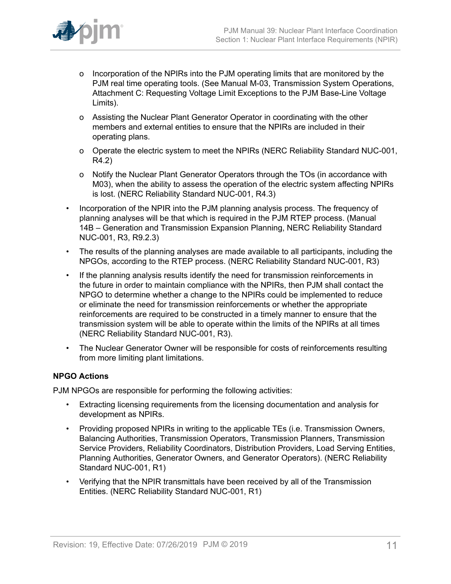

- o Incorporation of the NPIRs into the PJM operating limits that are monitored by the PJM real time operating tools. (See Manual M-03, Transmission System Operations, Attachment C: Requesting Voltage Limit Exceptions to the PJM Base-Line Voltage Limits).
- o Assisting the Nuclear Plant Generator Operator in coordinating with the other members and external entities to ensure that the NPIRs are included in their operating plans.
- o Operate the electric system to meet the NPIRs (NERC Reliability Standard NUC-001, R4.2)
- o Notify the Nuclear Plant Generator Operators through the TOs (in accordance with M03), when the ability to assess the operation of the electric system affecting NPIRs is lost. (NERC Reliability Standard NUC-001, R4.3)
- Incorporation of the NPIR into the PJM planning analysis process. The frequency of planning analyses will be that which is required in the PJM RTEP process. (Manual 14B – Generation and Transmission Expansion Planning, NERC Reliability Standard NUC-001, R3, R9.2.3)
- The results of the planning analyses are made available to all participants, including the NPGOs, according to the RTEP process. (NERC Reliability Standard NUC-001, R3)
- If the planning analysis results identify the need for transmission reinforcements in the future in order to maintain compliance with the NPIRs, then PJM shall contact the NPGO to determine whether a change to the NPIRs could be implemented to reduce or eliminate the need for transmission reinforcements or whether the appropriate reinforcements are required to be constructed in a timely manner to ensure that the transmission system will be able to operate within the limits of the NPIRs at all times (NERC Reliability Standard NUC-001, R3).
- The Nuclear Generator Owner will be responsible for costs of reinforcements resulting from more limiting plant limitations.

## **NPGO Actions**

PJM NPGOs are responsible for performing the following activities:

- Extracting licensing requirements from the licensing documentation and analysis for development as NPIRs.
- Providing proposed NPIRs in writing to the applicable TEs (i.e. Transmission Owners, Balancing Authorities, Transmission Operators, Transmission Planners, Transmission Service Providers, Reliability Coordinators, Distribution Providers, Load Serving Entities, Planning Authorities, Generator Owners, and Generator Operators). (NERC Reliability Standard NUC-001, R1)
- Verifying that the NPIR transmittals have been received by all of the Transmission Entities. (NERC Reliability Standard NUC-001, R1)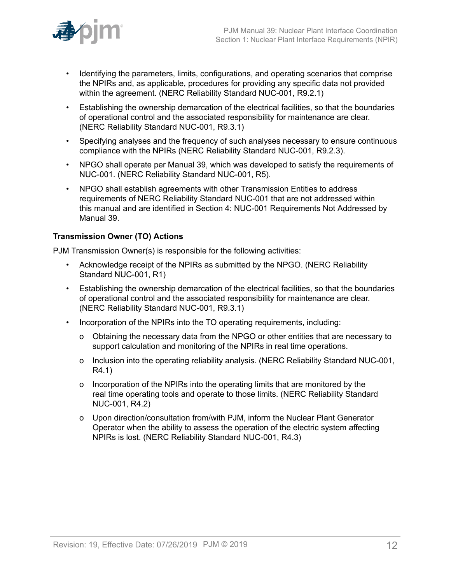

- Identifying the parameters, limits, configurations, and operating scenarios that comprise the NPIRs and, as applicable, procedures for providing any specific data not provided within the agreement. (NERC Reliability Standard NUC-001, R9.2.1)
- Establishing the ownership demarcation of the electrical facilities, so that the boundaries of operational control and the associated responsibility for maintenance are clear. (NERC Reliability Standard NUC-001, R9.3.1)
- Specifying analyses and the frequency of such analyses necessary to ensure continuous compliance with the NPIRs (NERC Reliability Standard NUC-001, R9.2.3).
- NPGO shall operate per Manual 39, which was developed to satisfy the requirements of NUC-001. (NERC Reliability Standard NUC-001, R5).
- NPGO shall establish agreements with other Transmission Entities to address requirements of NERC Reliability Standard NUC-001 that are not addressed within this manual and are identified in Section 4: NUC-001 Requirements Not Addressed by Manual 39.

## **Transmission Owner (TO) Actions**

PJM Transmission Owner(s) is responsible for the following activities:

- Acknowledge receipt of the NPIRs as submitted by the NPGO. (NERC Reliability Standard NUC-001, R1)
- Establishing the ownership demarcation of the electrical facilities, so that the boundaries of operational control and the associated responsibility for maintenance are clear. (NERC Reliability Standard NUC-001, R9.3.1)
- Incorporation of the NPIRs into the TO operating requirements, including:
	- o Obtaining the necessary data from the NPGO or other entities that are necessary to support calculation and monitoring of the NPIRs in real time operations.
	- o Inclusion into the operating reliability analysis. (NERC Reliability Standard NUC-001, R4.1)
	- o Incorporation of the NPIRs into the operating limits that are monitored by the real time operating tools and operate to those limits. (NERC Reliability Standard NUC-001, R4.2)
	- o Upon direction/consultation from/with PJM, inform the Nuclear Plant Generator Operator when the ability to assess the operation of the electric system affecting NPIRs is lost. (NERC Reliability Standard NUC-001, R4.3)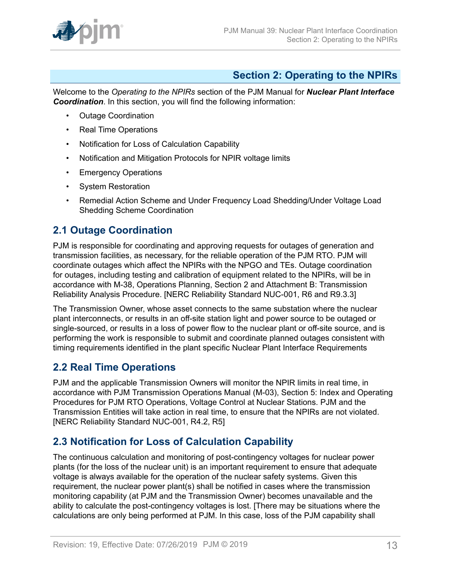

## <span id="page-12-0"></span>**Section 2: Operating to the NPIRs**

Welcome to the *Operating to the NPIRs* section of the PJM Manual for *Nuclear Plant Interface Coordination*. In this section, you will find the following information:

- Outage Coordination
- Real Time Operations
- Notification for Loss of Calculation Capability
- Notification and Mitigation Protocols for NPIR voltage limits
- Emergency Operations
- System Restoration
- Remedial Action Scheme and Under Frequency Load Shedding/Under Voltage Load Shedding Scheme Coordination

## <span id="page-12-1"></span>**2.1 Outage Coordination**

PJM is responsible for coordinating and approving requests for outages of generation and transmission facilities, as necessary, for the reliable operation of the PJM RTO. PJM will coordinate outages which affect the NPIRs with the NPGO and TEs. Outage coordination for outages, including testing and calibration of equipment related to the NPIRs, will be in accordance with M-38, Operations Planning, Section 2 and Attachment B: Transmission Reliability Analysis Procedure. [NERC Reliability Standard NUC-001, R6 and R9.3.3]

The Transmission Owner, whose asset connects to the same substation where the nuclear plant interconnects, or results in an off-site station light and power source to be outaged or single-sourced, or results in a loss of power flow to the nuclear plant or off-site source, and is performing the work is responsible to submit and coordinate planned outages consistent with timing requirements identified in the plant specific Nuclear Plant Interface Requirements

## <span id="page-12-2"></span>**2.2 Real Time Operations**

PJM and the applicable Transmission Owners will monitor the NPIR limits in real time, in accordance with PJM Transmission Operations Manual (M-03), Section 5: Index and Operating Procedures for PJM RTO Operations, Voltage Control at Nuclear Stations. PJM and the Transmission Entities will take action in real time, to ensure that the NPIRs are not violated. [NERC Reliability Standard NUC-001, R4.2, R5]

## <span id="page-12-3"></span>**2.3 Notification for Loss of Calculation Capability**

The continuous calculation and monitoring of post-contingency voltages for nuclear power plants (for the loss of the nuclear unit) is an important requirement to ensure that adequate voltage is always available for the operation of the nuclear safety systems. Given this requirement, the nuclear power plant(s) shall be notified in cases where the transmission monitoring capability (at PJM and the Transmission Owner) becomes unavailable and the ability to calculate the post-contingency voltages is lost. [There may be situations where the calculations are only being performed at PJM. In this case, loss of the PJM capability shall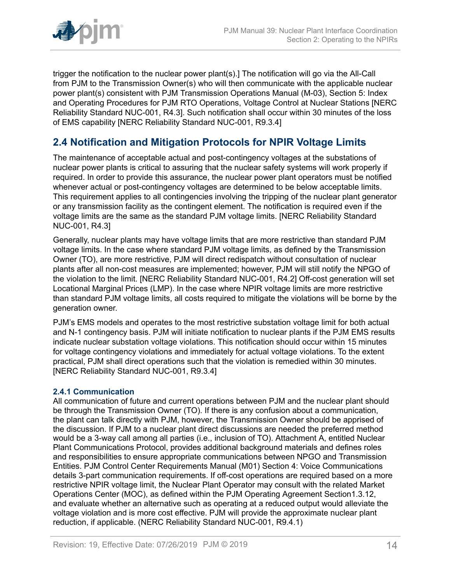

trigger the notification to the nuclear power plant(s).] The notification will go via the All-Call from PJM to the Transmission Owner(s) who will then communicate with the applicable nuclear power plant(s) consistent with PJM Transmission Operations Manual (M-03), Section 5: Index and Operating Procedures for PJM RTO Operations, Voltage Control at Nuclear Stations [NERC Reliability Standard NUC-001, R4.3]. Such notification shall occur within 30 minutes of the loss of EMS capability [NERC Reliability Standard NUC-001, R9.3.4]

## <span id="page-13-0"></span>**2.4 Notification and Mitigation Protocols for NPIR Voltage Limits**

The maintenance of acceptable actual and post-contingency voltages at the substations of nuclear power plants is critical to assuring that the nuclear safety systems will work properly if required. In order to provide this assurance, the nuclear power plant operators must be notified whenever actual or post-contingency voltages are determined to be below acceptable limits. This requirement applies to all contingencies involving the tripping of the nuclear plant generator or any transmission facility as the contingent element. The notification is required even if the voltage limits are the same as the standard PJM voltage limits. [NERC Reliability Standard NUC-001, R4.3]

Generally, nuclear plants may have voltage limits that are more restrictive than standard PJM voltage limits. In the case where standard PJM voltage limits, as defined by the Transmission Owner (TO), are more restrictive, PJM will direct redispatch without consultation of nuclear plants after all non-cost measures are implemented; however, PJM will still notify the NPGO of the violation to the limit. [NERC Reliability Standard NUC-001, R4.2] Off-cost generation will set Locational Marginal Prices (LMP). In the case where NPIR voltage limits are more restrictive than standard PJM voltage limits, all costs required to mitigate the violations will be borne by the generation owner.

PJM's EMS models and operates to the most restrictive substation voltage limit for both actual and N-1 contingency basis. PJM will initiate notification to nuclear plants if the PJM EMS results indicate nuclear substation voltage violations. This notification should occur within 15 minutes for voltage contingency violations and immediately for actual voltage violations. To the extent practical, PJM shall direct operations such that the violation is remedied within 30 minutes. [NERC Reliability Standard NUC-001, R9.3.4]

## <span id="page-13-1"></span>**2.4.1 Communication**

All communication of future and current operations between PJM and the nuclear plant should be through the Transmission Owner (TO). If there is any confusion about a communication, the plant can talk directly with PJM, however, the Transmission Owner should be apprised of the discussion. If PJM to a nuclear plant direct discussions are needed the preferred method would be a 3-way call among all parties (i.e., inclusion of TO). Attachment A, entitled Nuclear Plant Communications Protocol, provides additional background materials and defines roles and responsibilities to ensure appropriate communications between NPGO and Transmission Entities. PJM Control Center Requirements Manual (M01) Section 4: Voice Communications details 3-part communication requirements. If off-cost operations are required based on a more restrictive NPIR voltage limit, the Nuclear Plant Operator may consult with the related Market Operations Center (MOC), as defined within the PJM Operating Agreement Section1.3.12, and evaluate whether an alternative such as operating at a reduced output would alleviate the voltage violation and is more cost effective. PJM will provide the approximate nuclear plant reduction, if applicable. (NERC Reliability Standard NUC-001, R9.4.1)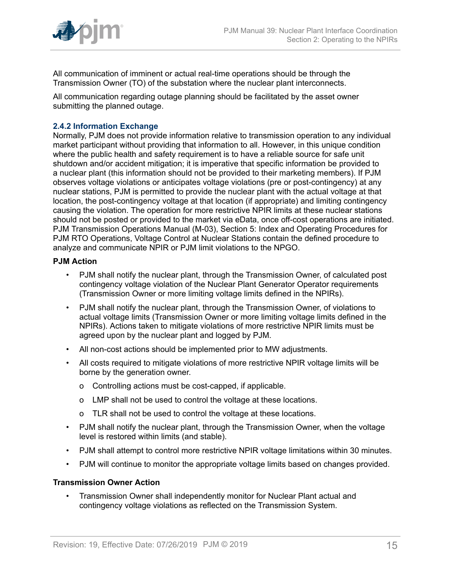

All communication of imminent or actual real-time operations should be through the Transmission Owner (TO) of the substation where the nuclear plant interconnects.

All communication regarding outage planning should be facilitated by the asset owner submitting the planned outage.

## <span id="page-14-0"></span>**2.4.2 Information Exchange**

Normally, PJM does not provide information relative to transmission operation to any individual market participant without providing that information to all. However, in this unique condition where the public health and safety requirement is to have a reliable source for safe unit shutdown and/or accident mitigation; it is imperative that specific information be provided to a nuclear plant (this information should not be provided to their marketing members). If PJM observes voltage violations or anticipates voltage violations (pre or post-contingency) at any nuclear stations, PJM is permitted to provide the nuclear plant with the actual voltage at that location, the post-contingency voltage at that location (if appropriate) and limiting contingency causing the violation. The operation for more restrictive NPIR limits at these nuclear stations should not be posted or provided to the market via eData, once off-cost operations are initiated. PJM Transmission Operations Manual (M-03), Section 5: Index and Operating Procedures for PJM RTO Operations, Voltage Control at Nuclear Stations contain the defined procedure to analyze and communicate NPIR or PJM limit violations to the NPGO.

## **PJM Action**

- PJM shall notify the nuclear plant, through the Transmission Owner, of calculated post contingency voltage violation of the Nuclear Plant Generator Operator requirements (Transmission Owner or more limiting voltage limits defined in the NPIRs).
- PJM shall notify the nuclear plant, through the Transmission Owner, of violations to actual voltage limits (Transmission Owner or more limiting voltage limits defined in the NPIRs). Actions taken to mitigate violations of more restrictive NPIR limits must be agreed upon by the nuclear plant and logged by PJM.
- All non-cost actions should be implemented prior to MW adjustments.
- All costs required to mitigate violations of more restrictive NPIR voltage limits will be borne by the generation owner.
	- o Controlling actions must be cost-capped, if applicable.
	- o LMP shall not be used to control the voltage at these locations.
	- o TLR shall not be used to control the voltage at these locations.
- PJM shall notify the nuclear plant, through the Transmission Owner, when the voltage level is restored within limits (and stable).
- PJM shall attempt to control more restrictive NPIR voltage limitations within 30 minutes.
- PJM will continue to monitor the appropriate voltage limits based on changes provided.

## **Transmission Owner Action**

• Transmission Owner shall independently monitor for Nuclear Plant actual and contingency voltage violations as reflected on the Transmission System.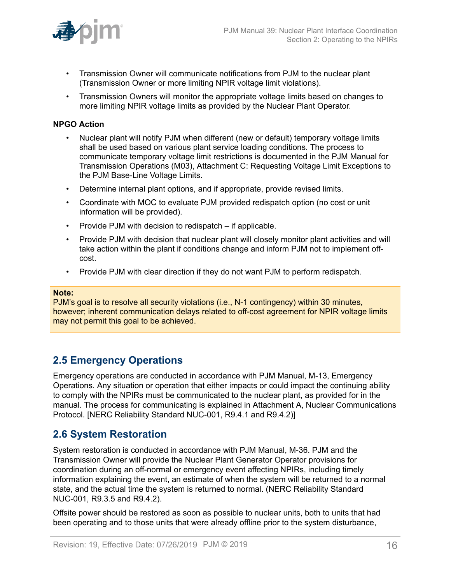

- Transmission Owner will communicate notifications from PJM to the nuclear plant (Transmission Owner or more limiting NPIR voltage limit violations).
- Transmission Owners will monitor the appropriate voltage limits based on changes to more limiting NPIR voltage limits as provided by the Nuclear Plant Operator.

#### **NPGO Action**

- Nuclear plant will notify PJM when different (new or default) temporary voltage limits shall be used based on various plant service loading conditions. The process to communicate temporary voltage limit restrictions is documented in the PJM Manual for Transmission Operations (M03), Attachment C: Requesting Voltage Limit Exceptions to the PJM Base-Line Voltage Limits.
- Determine internal plant options, and if appropriate, provide revised limits.
- Coordinate with MOC to evaluate PJM provided redispatch option (no cost or unit information will be provided).
- Provide PJM with decision to redispatch if applicable.
- Provide PJM with decision that nuclear plant will closely monitor plant activities and will take action within the plant if conditions change and inform PJM not to implement offcost.
- Provide PJM with clear direction if they do not want PJM to perform redispatch.

#### **Note:**

PJM's goal is to resolve all security violations (i.e., N-1 contingency) within 30 minutes, however; inherent communication delays related to off-cost agreement for NPIR voltage limits may not permit this goal to be achieved.

## <span id="page-15-0"></span>**2.5 Emergency Operations**

Emergency operations are conducted in accordance with PJM Manual, M-13, Emergency Operations. Any situation or operation that either impacts or could impact the continuing ability to comply with the NPIRs must be communicated to the nuclear plant, as provided for in the manual. The process for communicating is explained in Attachment A, Nuclear Communications Protocol. [NERC Reliability Standard NUC-001, R9.4.1 and R9.4.2)]

## <span id="page-15-1"></span>**2.6 System Restoration**

System restoration is conducted in accordance with PJM Manual, M-36. PJM and the Transmission Owner will provide the Nuclear Plant Generator Operator provisions for coordination during an off-normal or emergency event affecting NPIRs, including timely information explaining the event, an estimate of when the system will be returned to a normal state, and the actual time the system is returned to normal. (NERC Reliability Standard NUC-001, R9.3.5 and R9.4.2).

Offsite power should be restored as soon as possible to nuclear units, both to units that had been operating and to those units that were already offline prior to the system disturbance,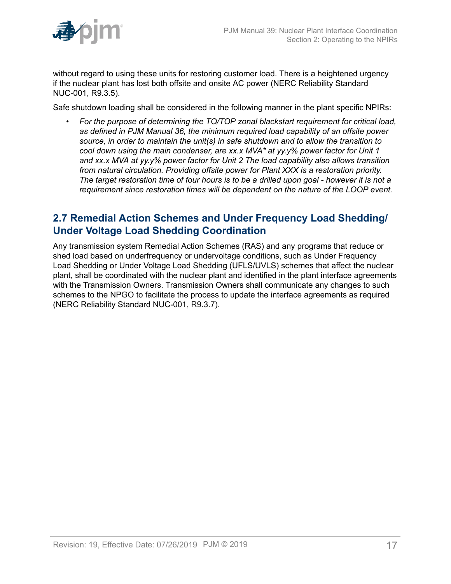

without regard to using these units for restoring customer load. There is a heightened urgency if the nuclear plant has lost both offsite and onsite AC power (NERC Reliability Standard NUC-001, R9.3.5).

Safe shutdown loading shall be considered in the following manner in the plant specific NPIRs:

• *For the purpose of determining the TO/TOP zonal blackstart requirement for critical load, as defined in PJM Manual 36, the minimum required load capability of an offsite power source, in order to maintain the unit(s) in safe shutdown and to allow the transition to cool down using the main condenser, are xx.x MVA\* at yy.y% power factor for Unit 1 and xx.x MVA at yy.y% power factor for Unit 2 The load capability also allows transition from natural circulation. Providing offsite power for Plant XXX is a restoration priority. The target restoration time of four hours is to be a drilled upon goal - however it is not a requirement since restoration times will be dependent on the nature of the LOOP event.*

## <span id="page-16-0"></span>**2.7 Remedial Action Schemes and Under Frequency Load Shedding/ Under Voltage Load Shedding Coordination**

Any transmission system Remedial Action Schemes (RAS) and any programs that reduce or shed load based on underfrequency or undervoltage conditions, such as Under Frequency Load Shedding or Under Voltage Load Shedding (UFLS/UVLS) schemes that affect the nuclear plant, shall be coordinated with the nuclear plant and identified in the plant interface agreements with the Transmission Owners. Transmission Owners shall communicate any changes to such schemes to the NPGO to facilitate the process to update the interface agreements as required (NERC Reliability Standard NUC-001, R9.3.7).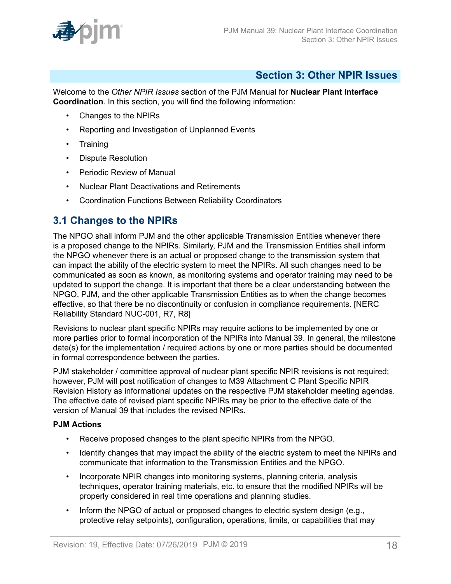

## <span id="page-17-0"></span>**Section 3: Other NPIR Issues**

Welcome to the *Other NPIR Issues* section of the PJM Manual for **Nuclear Plant Interface Coordination**. In this section, you will find the following information:

- Changes to the NPIRs
- Reporting and Investigation of Unplanned Events
- Training
- Dispute Resolution
- Periodic Review of Manual
- Nuclear Plant Deactivations and Retirements
- Coordination Functions Between Reliability Coordinators

## <span id="page-17-1"></span>**3.1 Changes to the NPIRs**

The NPGO shall inform PJM and the other applicable Transmission Entities whenever there is a proposed change to the NPIRs. Similarly, PJM and the Transmission Entities shall inform the NPGO whenever there is an actual or proposed change to the transmission system that can impact the ability of the electric system to meet the NPIRs. All such changes need to be communicated as soon as known, as monitoring systems and operator training may need to be updated to support the change. It is important that there be a clear understanding between the NPGO, PJM, and the other applicable Transmission Entities as to when the change becomes effective, so that there be no discontinuity or confusion in compliance requirements. [NERC Reliability Standard NUC-001, R7, R8]

Revisions to nuclear plant specific NPIRs may require actions to be implemented by one or more parties prior to formal incorporation of the NPIRs into Manual 39. In general, the milestone date(s) for the implementation / required actions by one or more parties should be documented in formal correspondence between the parties.

PJM stakeholder / committee approval of nuclear plant specific NPIR revisions is not required: however, PJM will post notification of changes to M39 Attachment C Plant Specific NPIR Revision History as informational updates on the respective PJM stakeholder meeting agendas. The effective date of revised plant specific NPIRs may be prior to the effective date of the version of Manual 39 that includes the revised NPIRs.

## **PJM Actions**

- Receive proposed changes to the plant specific NPIRs from the NPGO.
- Identify changes that may impact the ability of the electric system to meet the NPIRs and communicate that information to the Transmission Entities and the NPGO.
- Incorporate NPIR changes into monitoring systems, planning criteria, analysis techniques, operator training materials, etc. to ensure that the modified NPIRs will be properly considered in real time operations and planning studies.
- Inform the NPGO of actual or proposed changes to electric system design (e.g., protective relay setpoints), configuration, operations, limits, or capabilities that may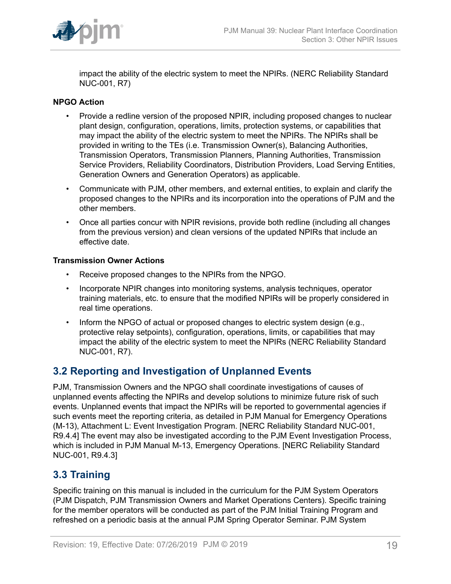

impact the ability of the electric system to meet the NPIRs. (NERC Reliability Standard NUC-001, R7)

## **NPGO Action**

- Provide a redline version of the proposed NPIR, including proposed changes to nuclear plant design, configuration, operations, limits, protection systems, or capabilities that may impact the ability of the electric system to meet the NPIRs. The NPIRs shall be provided in writing to the TEs (i.e. Transmission Owner(s), Balancing Authorities, Transmission Operators, Transmission Planners, Planning Authorities, Transmission Service Providers, Reliability Coordinators, Distribution Providers, Load Serving Entities, Generation Owners and Generation Operators) as applicable.
- Communicate with PJM, other members, and external entities, to explain and clarify the proposed changes to the NPIRs and its incorporation into the operations of PJM and the other members.
- Once all parties concur with NPIR revisions, provide both redline (including all changes from the previous version) and clean versions of the updated NPIRs that include an effective date.

## **Transmission Owner Actions**

- Receive proposed changes to the NPIRs from the NPGO.
- Incorporate NPIR changes into monitoring systems, analysis techniques, operator training materials, etc. to ensure that the modified NPIRs will be properly considered in real time operations.
- Inform the NPGO of actual or proposed changes to electric system design (e.g., protective relay setpoints), configuration, operations, limits, or capabilities that may impact the ability of the electric system to meet the NPIRs (NERC Reliability Standard NUC-001, R7).

## <span id="page-18-0"></span>**3.2 Reporting and Investigation of Unplanned Events**

PJM, Transmission Owners and the NPGO shall coordinate investigations of causes of unplanned events affecting the NPIRs and develop solutions to minimize future risk of such events. Unplanned events that impact the NPIRs will be reported to governmental agencies if such events meet the reporting criteria, as detailed in PJM Manual for Emergency Operations (M-13), Attachment L: Event Investigation Program. [NERC Reliability Standard NUC-001, R9.4.4] The event may also be investigated according to the PJM Event Investigation Process, which is included in PJM Manual M-13, Emergency Operations. [NERC Reliability Standard NUC-001, R9.4.3]

## <span id="page-18-1"></span>**3.3 Training**

Specific training on this manual is included in the curriculum for the PJM System Operators (PJM Dispatch, PJM Transmission Owners and Market Operations Centers). Specific training for the member operators will be conducted as part of the PJM Initial Training Program and refreshed on a periodic basis at the annual PJM Spring Operator Seminar. PJM System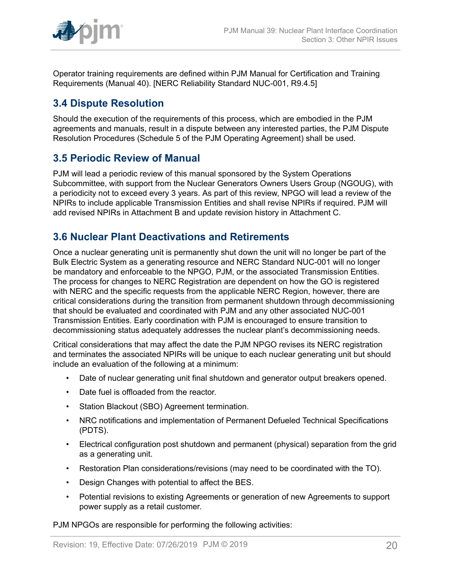

Operator training requirements are defined within PJM Manual for Certification and Training Requirements (Manual 40). [NERC Reliability Standard NUC-001, R9.4.5]

## <span id="page-19-0"></span>**3.4 Dispute Resolution**

Should the execution of the requirements of this process, which are embodied in the PJM agreements and manuals, result in a dispute between any interested parties, the PJM Dispute Resolution Procedures (Schedule 5 of the PJM Operating Agreement) shall be used.

## <span id="page-19-1"></span>**3.5 Periodic Review of Manual**

PJM will lead a periodic review of this manual sponsored by the System Operations Subcommittee, with support from the Nuclear Generators Owners Users Group (NGOUG), with a periodicity not to exceed every 3 years. As part of this review, NPGO will lead a review of the NPIRs to include applicable Transmission Entities and shall revise NPIRs if required. PJM will add revised NPIRs in Attachment B and update revision history in Attachment C.

## <span id="page-19-2"></span>**3.6 Nuclear Plant Deactivations and Retirements**

Once a nuclear generating unit is permanently shut down the unit will no longer be part of the Bulk Electric System as a generating resource and NERC Standard NUC-001 will no longer be mandatory and enforceable to the NPGO, PJM, or the associated Transmission Entities. The process for changes to NERC Registration are dependent on how the GO is registered with NERC and the specific requests from the applicable NERC Region, however, there are critical considerations during the transition from permanent shutdown through decommissioning that should be evaluated and coordinated with PJM and any other associated NUC-001 Transmission Entities. Early coordination with PJM is encouraged to ensure transition to decommissioning status adequately addresses the nuclear plant's decommissioning needs.

Critical considerations that may affect the date the PJM NPGO revises its NERC registration and terminates the associated NPIRs will be unique to each nuclear generating unit but should include an evaluation of the following at a minimum:

- Date of nuclear generating unit final shutdown and generator output breakers opened.
- Date fuel is offloaded from the reactor.
- Station Blackout (SBO) Agreement termination.
- NRC notifications and implementation of Permanent Defueled Technical Specifications (PDTS).
- Electrical configuration post shutdown and permanent (physical) separation from the grid as a generating unit.
- Restoration Plan considerations/revisions (may need to be coordinated with the TO).
- Design Changes with potential to affect the BES.
- Potential revisions to existing Agreements or generation of new Agreements to support power supply as a retail customer.

PJM NPGOs are responsible for performing the following activities: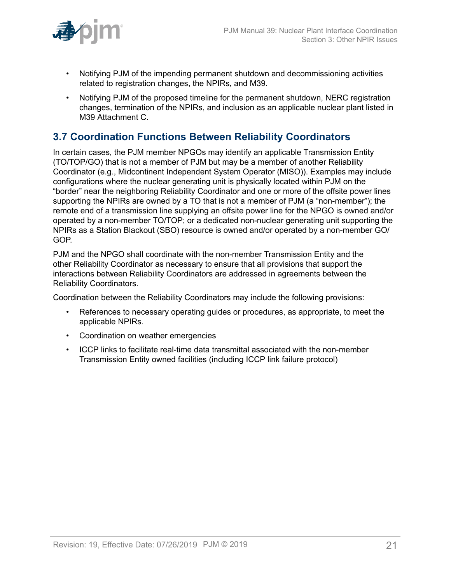

- Notifying PJM of the impending permanent shutdown and decommissioning activities related to registration changes, the NPIRs, and M39.
- Notifying PJM of the proposed timeline for the permanent shutdown, NERC registration changes, termination of the NPIRs, and inclusion as an applicable nuclear plant listed in M39 Attachment C.

## <span id="page-20-0"></span>**3.7 Coordination Functions Between Reliability Coordinators**

In certain cases, the PJM member NPGOs may identify an applicable Transmission Entity (TO/TOP/GO) that is not a member of PJM but may be a member of another Reliability Coordinator (e.g., Midcontinent Independent System Operator (MISO)). Examples may include configurations where the nuclear generating unit is physically located within PJM on the "border" near the neighboring Reliability Coordinator and one or more of the offsite power lines supporting the NPIRs are owned by a TO that is not a member of PJM (a "non-member"); the remote end of a transmission line supplying an offsite power line for the NPGO is owned and/or operated by a non-member TO/TOP; or a dedicated non-nuclear generating unit supporting the NPIRs as a Station Blackout (SBO) resource is owned and/or operated by a non-member GO/ GOP.

PJM and the NPGO shall coordinate with the non-member Transmission Entity and the other Reliability Coordinator as necessary to ensure that all provisions that support the interactions between Reliability Coordinators are addressed in agreements between the Reliability Coordinators.

Coordination between the Reliability Coordinators may include the following provisions:

- References to necessary operating guides or procedures, as appropriate, to meet the applicable NPIRs.
- Coordination on weather emergencies
- ICCP links to facilitate real-time data transmittal associated with the non-member Transmission Entity owned facilities (including ICCP link failure protocol)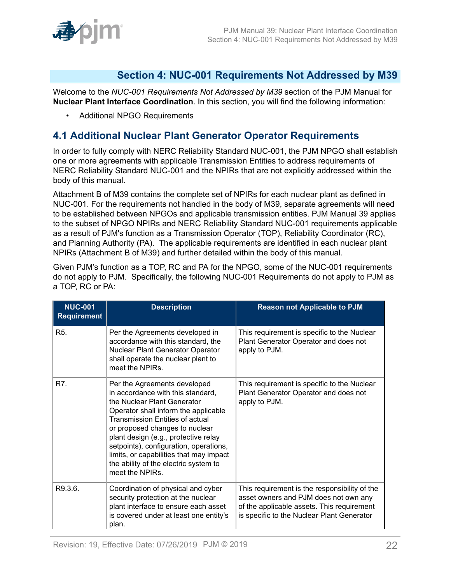

## <span id="page-21-0"></span>**Section 4: NUC-001 Requirements Not Addressed by M39**

Welcome to the *NUC-001 Requirements Not Addressed by M39* section of the PJM Manual for **Nuclear Plant Interface Coordination**. In this section, you will find the following information:

• Additional NPGO Requirements

## <span id="page-21-1"></span>**4.1 Additional Nuclear Plant Generator Operator Requirements**

In order to fully comply with NERC Reliability Standard NUC-001, the PJM NPGO shall establish one or more agreements with applicable Transmission Entities to address requirements of NERC Reliability Standard NUC-001 and the NPIRs that are not explicitly addressed within the body of this manual.

Attachment B of M39 contains the complete set of NPIRs for each nuclear plant as defined in NUC-001. For the requirements not handled in the body of M39, separate agreements will need to be established between NPGOs and applicable transmission entities. PJM Manual 39 applies to the subset of NPGO NPIRs and NERC Reliability Standard NUC-001 requirements applicable as a result of PJM's function as a Transmission Operator (TOP), Reliability Coordinator (RC), and Planning Authority (PA). The applicable requirements are identified in each nuclear plant NPIRs (Attachment B of M39) and further detailed within the body of this manual.

Given PJM's function as a TOP, RC and PA for the NPGO, some of the NUC-001 requirements do not apply to PJM. Specifically, the following NUC-001 Requirements do not apply to PJM as a TOP, RC or PA:

| <b>NUC-001</b><br><b>Requirement</b> | <b>Description</b>                                                                                                                                                                                                                                                                                                                                                                                            | <b>Reason not Applicable to PJM</b>                                                                                                                                                |
|--------------------------------------|---------------------------------------------------------------------------------------------------------------------------------------------------------------------------------------------------------------------------------------------------------------------------------------------------------------------------------------------------------------------------------------------------------------|------------------------------------------------------------------------------------------------------------------------------------------------------------------------------------|
| R <sub>5</sub> .                     | Per the Agreements developed in<br>accordance with this standard, the<br>Nuclear Plant Generator Operator<br>shall operate the nuclear plant to<br>meet the NPIRs.                                                                                                                                                                                                                                            | This requirement is specific to the Nuclear<br>Plant Generator Operator and does not<br>apply to PJM.                                                                              |
| R7.                                  | Per the Agreements developed<br>in accordance with this standard,<br>the Nuclear Plant Generator<br>Operator shall inform the applicable<br><b>Transmission Entities of actual</b><br>or proposed changes to nuclear<br>plant design (e.g., protective relay<br>setpoints), configuration, operations,<br>limits, or capabilities that may impact<br>the ability of the electric system to<br>meet the NPIRs. | This requirement is specific to the Nuclear<br>Plant Generator Operator and does not<br>apply to PJM.                                                                              |
| R9.3.6.                              | Coordination of physical and cyber<br>security protection at the nuclear<br>plant interface to ensure each asset<br>is covered under at least one entity's<br>plan.                                                                                                                                                                                                                                           | This requirement is the responsibility of the<br>asset owners and PJM does not own any<br>of the applicable assets. This requirement<br>is specific to the Nuclear Plant Generator |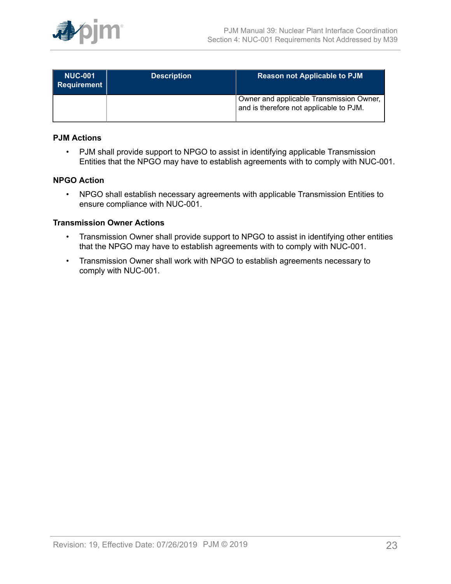

| <b>NUC-001</b><br>Requirement | <b>Description</b> | <b>Reason not Applicable to PJM</b>                                                 |
|-------------------------------|--------------------|-------------------------------------------------------------------------------------|
|                               |                    | Owner and applicable Transmission Owner,<br>and is therefore not applicable to PJM. |

### **PJM Actions**

• PJM shall provide support to NPGO to assist in identifying applicable Transmission Entities that the NPGO may have to establish agreements with to comply with NUC-001.

## **NPGO Action**

• NPGO shall establish necessary agreements with applicable Transmission Entities to ensure compliance with NUC-001.

#### **Transmission Owner Actions**

- Transmission Owner shall provide support to NPGO to assist in identifying other entities that the NPGO may have to establish agreements with to comply with NUC-001.
- Transmission Owner shall work with NPGO to establish agreements necessary to comply with NUC-001.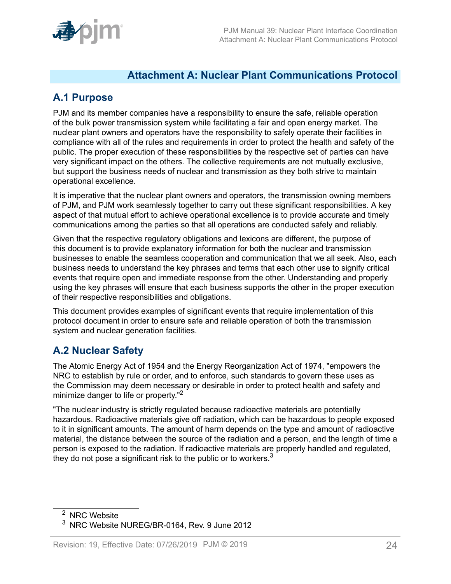

## <span id="page-23-0"></span>**Attachment A: Nuclear Plant Communications Protocol**

## <span id="page-23-1"></span>**A.1 Purpose**

PJM and its member companies have a responsibility to ensure the safe, reliable operation of the bulk power transmission system while facilitating a fair and open energy market. The nuclear plant owners and operators have the responsibility to safely operate their facilities in compliance with all of the rules and requirements in order to protect the health and safety of the public. The proper execution of these responsibilities by the respective set of parties can have very significant impact on the others. The collective requirements are not mutually exclusive, but support the business needs of nuclear and transmission as they both strive to maintain operational excellence.

It is imperative that the nuclear plant owners and operators, the transmission owning members of PJM, and PJM work seamlessly together to carry out these significant responsibilities. A key aspect of that mutual effort to achieve operational excellence is to provide accurate and timely communications among the parties so that all operations are conducted safely and reliably.

Given that the respective regulatory obligations and lexicons are different, the purpose of this document is to provide explanatory information for both the nuclear and transmission businesses to enable the seamless cooperation and communication that we all seek. Also, each business needs to understand the key phrases and terms that each other use to signify critical events that require open and immediate response from the other. Understanding and properly using the key phrases will ensure that each business supports the other in the proper execution of their respective responsibilities and obligations.

This document provides examples of significant events that require implementation of this protocol document in order to ensure safe and reliable operation of both the transmission system and nuclear generation facilities.

## <span id="page-23-2"></span>**A.2 Nuclear Safety**

The Atomic Energy Act of 1954 and the Energy Reorganization Act of 1974, "empowers the NRC to establish by rule or order, and to enforce, such standards to govern these uses as the Commission may deem necessary or desirable in order to protect health and safety and minimize danger to life or property."<sup>2</sup>

"The nuclear industry is strictly regulated because radioactive materials are potentially hazardous. Radioactive materials give off radiation, which can be hazardous to people exposed to it in significant amounts. The amount of harm depends on the type and amount of radioactive material, the distance between the source of the radiation and a person, and the length of time a person is exposed to the radiation. If radioactive materials are properly handled and regulated, they do not pose a significant risk to the public or to workers. $3$ 

<sup>&</sup>lt;sup>2</sup> NRC Website

<sup>3</sup> NRC Website NUREG/BR-0164, Rev. 9 June 2012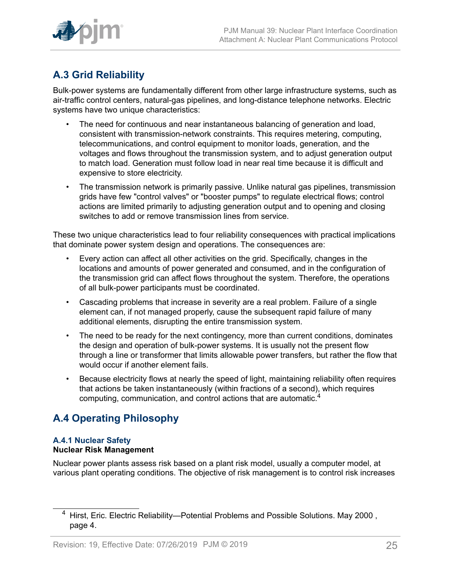

# <span id="page-24-0"></span>**A.3 Grid Reliability**

Bulk-power systems are fundamentally different from other large infrastructure systems, such as air-traffic control centers, natural-gas pipelines, and long-distance telephone networks. Electric systems have two unique characteristics:

- The need for continuous and near instantaneous balancing of generation and load, consistent with transmission-network constraints. This requires metering, computing, telecommunications, and control equipment to monitor loads, generation, and the voltages and flows throughout the transmission system, and to adjust generation output to match load. Generation must follow load in near real time because it is difficult and expensive to store electricity.
- The transmission network is primarily passive. Unlike natural gas pipelines, transmission grids have few "control valves" or "booster pumps" to regulate electrical flows; control actions are limited primarily to adjusting generation output and to opening and closing switches to add or remove transmission lines from service.

These two unique characteristics lead to four reliability consequences with practical implications that dominate power system design and operations. The consequences are:

- Every action can affect all other activities on the grid. Specifically, changes in the locations and amounts of power generated and consumed, and in the configuration of the transmission grid can affect flows throughout the system. Therefore, the operations of all bulk-power participants must be coordinated.
- Cascading problems that increase in severity are a real problem. Failure of a single element can, if not managed properly, cause the subsequent rapid failure of many additional elements, disrupting the entire transmission system.
- The need to be ready for the next contingency, more than current conditions, dominates the design and operation of bulk-power systems. It is usually not the present flow through a line or transformer that limits allowable power transfers, but rather the flow that would occur if another element fails.
- Because electricity flows at nearly the speed of light, maintaining reliability often requires that actions be taken instantaneously (within fractions of a second), which requires computing, communication, and control actions that are automatic.<sup>4</sup>

## <span id="page-24-1"></span>**A.4 Operating Philosophy**

### **A.4.1 Nuclear Safety Nuclear Risk Management**

Nuclear power plants assess risk based on a plant risk model, usually a computer model, at various plant operating conditions. The objective of risk management is to control risk increases

<sup>&</sup>lt;sup>4</sup> Hirst, Eric. Electric Reliability—Potential Problems and Possible Solutions. May 2000, page 4.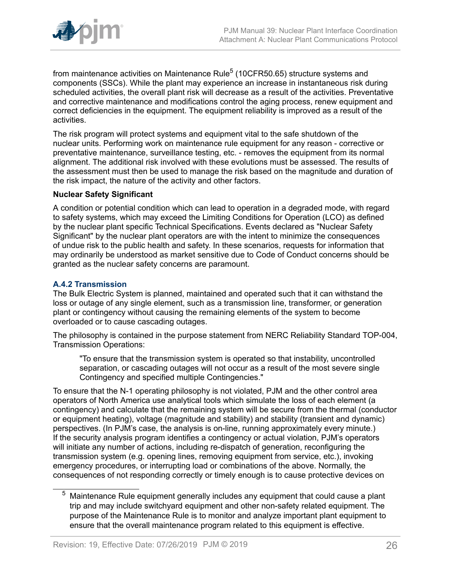

from maintenance activities on Maintenance Rule $^5$  (10CFR50.65) structure systems and components (SSCs). While the plant may experience an increase in instantaneous risk during scheduled activities, the overall plant risk will decrease as a result of the activities. Preventative and corrective maintenance and modifications control the aging process, renew equipment and correct deficiencies in the equipment. The equipment reliability is improved as a result of the activities.

The risk program will protect systems and equipment vital to the safe shutdown of the nuclear units. Performing work on maintenance rule equipment for any reason - corrective or preventative maintenance, surveillance testing, etc. - removes the equipment from its normal alignment. The additional risk involved with these evolutions must be assessed. The results of the assessment must then be used to manage the risk based on the magnitude and duration of the risk impact, the nature of the activity and other factors.

#### **Nuclear Safety Significant**

A condition or potential condition which can lead to operation in a degraded mode, with regard to safety systems, which may exceed the Limiting Conditions for Operation (LCO) as defined by the nuclear plant specific Technical Specifications. Events declared as "Nuclear Safety Significant" by the nuclear plant operators are with the intent to minimize the consequences of undue risk to the public health and safety. In these scenarios, requests for information that may ordinarily be understood as market sensitive due to Code of Conduct concerns should be granted as the nuclear safety concerns are paramount.

## **A.4.2 Transmission**

The Bulk Electric System is planned, maintained and operated such that it can withstand the loss or outage of any single element, such as a transmission line, transformer, or generation plant or contingency without causing the remaining elements of the system to become overloaded or to cause cascading outages.

The philosophy is contained in the purpose statement from NERC Reliability Standard TOP-004, Transmission Operations:

"To ensure that the transmission system is operated so that instability, uncontrolled separation, or cascading outages will not occur as a result of the most severe single Contingency and specified multiple Contingencies."

To ensure that the N-1 operating philosophy is not violated, PJM and the other control area operators of North America use analytical tools which simulate the loss of each element (a contingency) and calculate that the remaining system will be secure from the thermal (conductor or equipment heating), voltage (magnitude and stability) and stability (transient and dynamic) perspectives. (In PJM's case, the analysis is on-line, running approximately every minute.) If the security analysis program identifies a contingency or actual violation, PJM's operators will initiate any number of actions, including re-dispatch of generation, reconfiguring the transmission system (e.g. opening lines, removing equipment from service, etc.), invoking emergency procedures, or interrupting load or combinations of the above. Normally, the consequences of not responding correctly or timely enough is to cause protective devices on

 $5$  Maintenance Rule equipment generally includes any equipment that could cause a plant trip and may include switchyard equipment and other non-safety related equipment. The purpose of the Maintenance Rule is to monitor and analyze important plant equipment to ensure that the overall maintenance program related to this equipment is effective.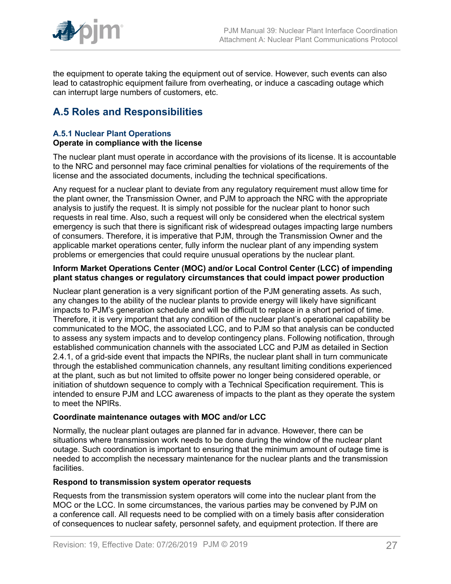

the equipment to operate taking the equipment out of service. However, such events can also lead to catastrophic equipment failure from overheating, or induce a cascading outage which can interrupt large numbers of customers, etc.

## <span id="page-26-0"></span>**A.5 Roles and Responsibilities**

#### **A.5.1 Nuclear Plant Operations Operate in compliance with the license**

The nuclear plant must operate in accordance with the provisions of its license. It is accountable to the NRC and personnel may face criminal penalties for violations of the requirements of the license and the associated documents, including the technical specifications.

Any request for a nuclear plant to deviate from any regulatory requirement must allow time for the plant owner, the Transmission Owner, and PJM to approach the NRC with the appropriate analysis to justify the request. It is simply not possible for the nuclear plant to honor such requests in real time. Also, such a request will only be considered when the electrical system emergency is such that there is significant risk of widespread outages impacting large numbers of consumers. Therefore, it is imperative that PJM, through the Transmission Owner and the applicable market operations center, fully inform the nuclear plant of any impending system problems or emergencies that could require unusual operations by the nuclear plant.

#### **Inform Market Operations Center (MOC) and/or Local Control Center (LCC) of impending plant status changes or regulatory circumstances that could impact power production**

Nuclear plant generation is a very significant portion of the PJM generating assets. As such, any changes to the ability of the nuclear plants to provide energy will likely have significant impacts to PJM's generation schedule and will be difficult to replace in a short period of time. Therefore, it is very important that any condition of the nuclear plant's operational capability be communicated to the MOC, the associated LCC, and to PJM so that analysis can be conducted to assess any system impacts and to develop contingency plans. Following notification, through established communication channels with the associated LCC and PJM as detailed in Section 2.4.1, of a grid-side event that impacts the NPIRs, the nuclear plant shall in turn communicate through the established communication channels, any resultant limiting conditions experienced at the plant, such as but not limited to offsite power no longer being considered operable, or initiation of shutdown sequence to comply with a Technical Specification requirement. This is intended to ensure PJM and LCC awareness of impacts to the plant as they operate the system to meet the NPIRs.

## **Coordinate maintenance outages with MOC and/or LCC**

Normally, the nuclear plant outages are planned far in advance. However, there can be situations where transmission work needs to be done during the window of the nuclear plant outage. Such coordination is important to ensuring that the minimum amount of outage time is needed to accomplish the necessary maintenance for the nuclear plants and the transmission facilities.

## **Respond to transmission system operator requests**

Requests from the transmission system operators will come into the nuclear plant from the MOC or the LCC. In some circumstances, the various parties may be convened by PJM on a conference call. All requests need to be complied with on a timely basis after consideration of consequences to nuclear safety, personnel safety, and equipment protection. If there are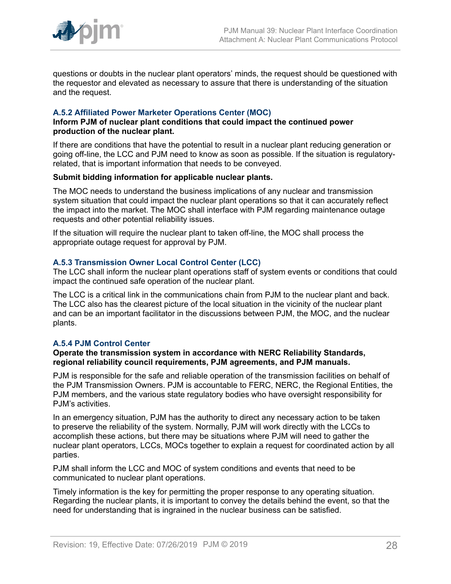

questions or doubts in the nuclear plant operators' minds, the request should be questioned with the requestor and elevated as necessary to assure that there is understanding of the situation and the request.

### **A.5.2 Affiliated Power Marketer Operations Center (MOC)**

#### **Inform PJM of nuclear plant conditions that could impact the continued power production of the nuclear plant.**

If there are conditions that have the potential to result in a nuclear plant reducing generation or going off-line, the LCC and PJM need to know as soon as possible. If the situation is regulatoryrelated, that is important information that needs to be conveyed.

#### **Submit bidding information for applicable nuclear plants.**

The MOC needs to understand the business implications of any nuclear and transmission system situation that could impact the nuclear plant operations so that it can accurately reflect the impact into the market. The MOC shall interface with PJM regarding maintenance outage requests and other potential reliability issues.

If the situation will require the nuclear plant to taken off-line, the MOC shall process the appropriate outage request for approval by PJM.

#### **A.5.3 Transmission Owner Local Control Center (LCC)**

The LCC shall inform the nuclear plant operations staff of system events or conditions that could impact the continued safe operation of the nuclear plant.

The LCC is a critical link in the communications chain from PJM to the nuclear plant and back. The LCC also has the clearest picture of the local situation in the vicinity of the nuclear plant and can be an important facilitator in the discussions between PJM, the MOC, and the nuclear plants.

#### **A.5.4 PJM Control Center**

#### **Operate the transmission system in accordance with NERC Reliability Standards, regional reliability council requirements, PJM agreements, and PJM manuals.**

PJM is responsible for the safe and reliable operation of the transmission facilities on behalf of the PJM Transmission Owners. PJM is accountable to FERC, NERC, the Regional Entities, the PJM members, and the various state regulatory bodies who have oversight responsibility for PJM's activities.

In an emergency situation, PJM has the authority to direct any necessary action to be taken to preserve the reliability of the system. Normally, PJM will work directly with the LCCs to accomplish these actions, but there may be situations where PJM will need to gather the nuclear plant operators, LCCs, MOCs together to explain a request for coordinated action by all parties.

PJM shall inform the LCC and MOC of system conditions and events that need to be communicated to nuclear plant operations.

Timely information is the key for permitting the proper response to any operating situation. Regarding the nuclear plants, it is important to convey the details behind the event, so that the need for understanding that is ingrained in the nuclear business can be satisfied.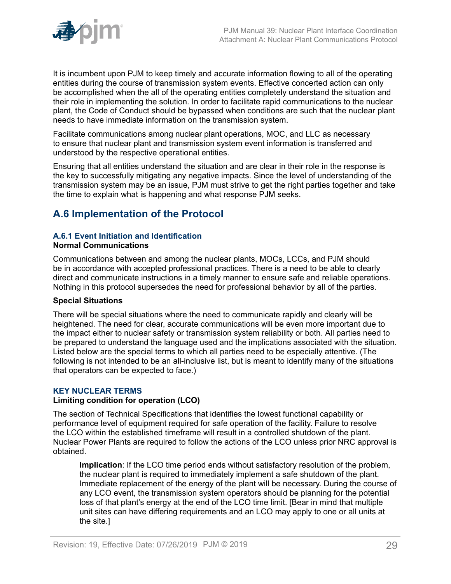

It is incumbent upon PJM to keep timely and accurate information flowing to all of the operating entities during the course of transmission system events. Effective concerted action can only be accomplished when the all of the operating entities completely understand the situation and their role in implementing the solution. In order to facilitate rapid communications to the nuclear plant, the Code of Conduct should be bypassed when conditions are such that the nuclear plant needs to have immediate information on the transmission system.

Facilitate communications among nuclear plant operations, MOC, and LLC as necessary to ensure that nuclear plant and transmission system event information is transferred and understood by the respective operational entities.

Ensuring that all entities understand the situation and are clear in their role in the response is the key to successfully mitigating any negative impacts. Since the level of understanding of the transmission system may be an issue, PJM must strive to get the right parties together and take the time to explain what is happening and what response PJM seeks.

## <span id="page-28-0"></span>**A.6 Implementation of the Protocol**

## **A.6.1 Event Initiation and Identification**

#### **Normal Communications**

Communications between and among the nuclear plants, MOCs, LCCs, and PJM should be in accordance with accepted professional practices. There is a need to be able to clearly direct and communicate instructions in a timely manner to ensure safe and reliable operations. Nothing in this protocol supersedes the need for professional behavior by all of the parties.

## **Special Situations**

There will be special situations where the need to communicate rapidly and clearly will be heightened. The need for clear, accurate communications will be even more important due to the impact either to nuclear safety or transmission system reliability or both. All parties need to be prepared to understand the language used and the implications associated with the situation. Listed below are the special terms to which all parties need to be especially attentive. (The following is not intended to be an all-inclusive list, but is meant to identify many of the situations that operators can be expected to face.)

## **KEY NUCLEAR TERMS**

## **Limiting condition for operation (LCO)**

The section of Technical Specifications that identifies the lowest functional capability or performance level of equipment required for safe operation of the facility. Failure to resolve the LCO within the established timeframe will result in a controlled shutdown of the plant. Nuclear Power Plants are required to follow the actions of the LCO unless prior NRC approval is obtained.

**Implication**: If the LCO time period ends without satisfactory resolution of the problem, the nuclear plant is required to immediately implement a safe shutdown of the plant. Immediate replacement of the energy of the plant will be necessary. During the course of any LCO event, the transmission system operators should be planning for the potential loss of that plant's energy at the end of the LCO time limit. [Bear in mind that multiple unit sites can have differing requirements and an LCO may apply to one or all units at the site.]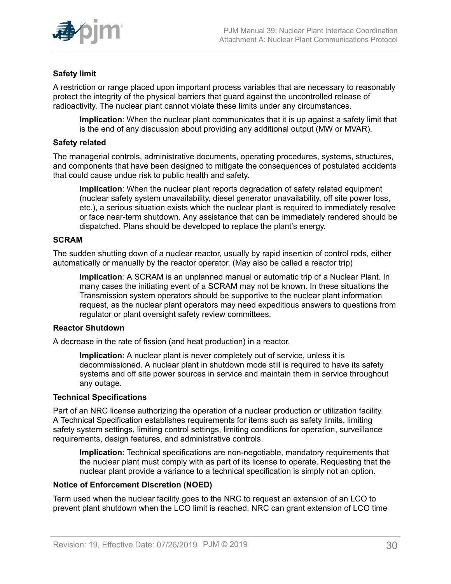

## **Safety limit**

A restriction or range placed upon important process variables that are necessary to reasonably protect the integrity of the physical barriers that guard against the uncontrolled release of radioactivity. The nuclear plant cannot violate these limits under any circumstances.

**Implication**: When the nuclear plant communicates that it is up against a safety limit that is the end of any discussion about providing any additional output (MW or MVAR).

#### **Safety related**

The managerial controls, administrative documents, operating procedures, systems, structures, and components that have been designed to mitigate the consequences of postulated accidents that could cause undue risk to public health and safety.

**Implication**: When the nuclear plant reports degradation of safety related equipment (nuclear safety system unavailability, diesel generator unavailability, off site power loss, etc.), a serious situation exists which the nuclear plant is required to immediately resolve or face near-term shutdown. Any assistance that can be immediately rendered should be dispatched. Plans should be developed to replace the plant's energy.

#### **SCRAM**

The sudden shutting down of a nuclear reactor, usually by rapid insertion of control rods, either automatically or manually by the reactor operator. (May also be called a reactor trip)

**Implication***:* A SCRAM is an unplanned manual or automatic trip of a Nuclear Plant. In many cases the initiating event of a SCRAM may not be known. In these situations the Transmission system operators should be supportive to the nuclear plant information request, as the nuclear plant operators may need expeditious answers to questions from regulator or plant oversight safety review committees.

#### **Reactor Shutdown**

A decrease in the rate of fission (and heat production) in a reactor.

**Implication**: A nuclear plant is never completely out of service, unless it is decommissioned. A nuclear plant in shutdown mode still is required to have its safety systems and off site power sources in service and maintain them in service throughout any outage.

#### **Technical Specifications**

Part of an NRC license authorizing the operation of a nuclear production or utilization facility. A Technical Specification establishes requirements for items such as safety limits, limiting safety system settings, limiting control settings, limiting conditions for operation, surveillance requirements, design features, and administrative controls.

**Implication**: Technical specifications are non-negotiable, mandatory requirements that the nuclear plant must comply with as part of its license to operate. Requesting that the nuclear plant provide a variance to a technical specification is simply not an option.

#### **Notice of Enforcement Discretion (NOED)**

Term used when the nuclear facility goes to the NRC to request an extension of an LCO to prevent plant shutdown when the LCO limit is reached. NRC can grant extension of LCO time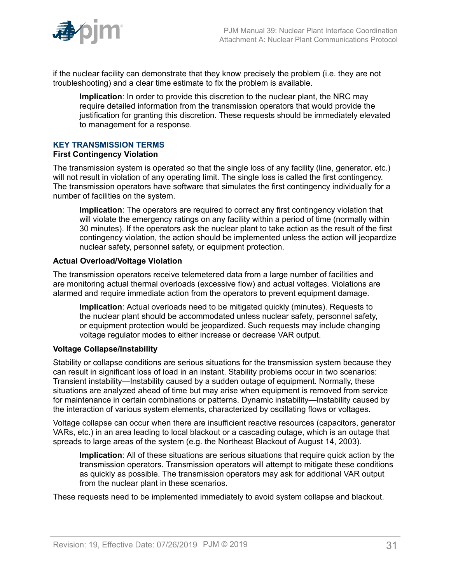

if the nuclear facility can demonstrate that they know precisely the problem (i.e. they are not troubleshooting) and a clear time estimate to fix the problem is available.

**Implication**: In order to provide this discretion to the nuclear plant, the NRC may require detailed information from the transmission operators that would provide the justification for granting this discretion. These requests should be immediately elevated to management for a response.

## **KEY TRANSMISSION TERMS**

#### **First Contingency Violation**

The transmission system is operated so that the single loss of any facility (line, generator, etc.) will not result in violation of any operating limit. The single loss is called the first contingency. The transmission operators have software that simulates the first contingency individually for a number of facilities on the system.

**Implication**: The operators are required to correct any first contingency violation that will violate the emergency ratings on any facility within a period of time (normally within 30 minutes). If the operators ask the nuclear plant to take action as the result of the first contingency violation, the action should be implemented unless the action will jeopardize nuclear safety, personnel safety, or equipment protection.

#### **Actual Overload/Voltage Violation**

The transmission operators receive telemetered data from a large number of facilities and are monitoring actual thermal overloads (excessive flow) and actual voltages. Violations are alarmed and require immediate action from the operators to prevent equipment damage.

**Implication**: Actual overloads need to be mitigated quickly (minutes). Requests to the nuclear plant should be accommodated unless nuclear safety, personnel safety, or equipment protection would be jeopardized. Such requests may include changing voltage regulator modes to either increase or decrease VAR output.

## **Voltage Collapse/Instability**

Stability or collapse conditions are serious situations for the transmission system because they can result in significant loss of load in an instant. Stability problems occur in two scenarios: Transient instability—Instability caused by a sudden outage of equipment. Normally, these situations are analyzed ahead of time but may arise when equipment is removed from service for maintenance in certain combinations or patterns. Dynamic instability—Instability caused by the interaction of various system elements, characterized by oscillating flows or voltages.

Voltage collapse can occur when there are insufficient reactive resources (capacitors, generator VARs, etc.) in an area leading to local blackout or a cascading outage, which is an outage that spreads to large areas of the system (e.g. the Northeast Blackout of August 14, 2003).

**Implication**: All of these situations are serious situations that require quick action by the transmission operators. Transmission operators will attempt to mitigate these conditions as quickly as possible. The transmission operators may ask for additional VAR output from the nuclear plant in these scenarios.

These requests need to be implemented immediately to avoid system collapse and blackout.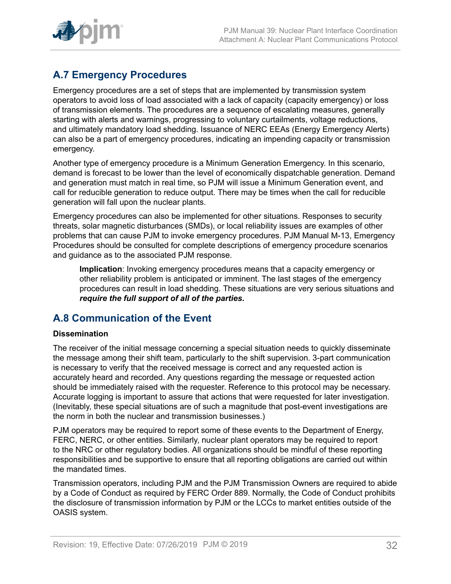

## <span id="page-31-0"></span>**A.7 Emergency Procedures**

Emergency procedures are a set of steps that are implemented by transmission system operators to avoid loss of load associated with a lack of capacity (capacity emergency) or loss of transmission elements. The procedures are a sequence of escalating measures, generally starting with alerts and warnings, progressing to voluntary curtailments, voltage reductions, and ultimately mandatory load shedding. Issuance of NERC EEAs (Energy Emergency Alerts) can also be a part of emergency procedures, indicating an impending capacity or transmission emergency.

Another type of emergency procedure is a Minimum Generation Emergency. In this scenario, demand is forecast to be lower than the level of economically dispatchable generation. Demand and generation must match in real time, so PJM will issue a Minimum Generation event, and call for reducible generation to reduce output. There may be times when the call for reducible generation will fall upon the nuclear plants.

Emergency procedures can also be implemented for other situations. Responses to security threats, solar magnetic disturbances (SMDs), or local reliability issues are examples of other problems that can cause PJM to invoke emergency procedures. PJM Manual M-13, Emergency Procedures should be consulted for complete descriptions of emergency procedure scenarios and guidance as to the associated PJM response.

**Implication**: Invoking emergency procedures means that a capacity emergency or other reliability problem is anticipated or imminent. The last stages of the emergency procedures can result in load shedding. These situations are very serious situations and *require the full support of all of the parties.*

## <span id="page-31-1"></span>**A.8 Communication of the Event**

## **Dissemination**

The receiver of the initial message concerning a special situation needs to quickly disseminate the message among their shift team, particularly to the shift supervision. 3-part communication is necessary to verify that the received message is correct and any requested action is accurately heard and recorded. Any questions regarding the message or requested action should be immediately raised with the requester. Reference to this protocol may be necessary. Accurate logging is important to assure that actions that were requested for later investigation. (Inevitably, these special situations are of such a magnitude that post-event investigations are the norm in both the nuclear and transmission businesses.)

PJM operators may be required to report some of these events to the Department of Energy, FERC, NERC, or other entities. Similarly, nuclear plant operators may be required to report to the NRC or other regulatory bodies. All organizations should be mindful of these reporting responsibilities and be supportive to ensure that all reporting obligations are carried out within the mandated times.

Transmission operators, including PJM and the PJM Transmission Owners are required to abide by a Code of Conduct as required by FERC Order 889. Normally, the Code of Conduct prohibits the disclosure of transmission information by PJM or the LCCs to market entities outside of the OASIS system.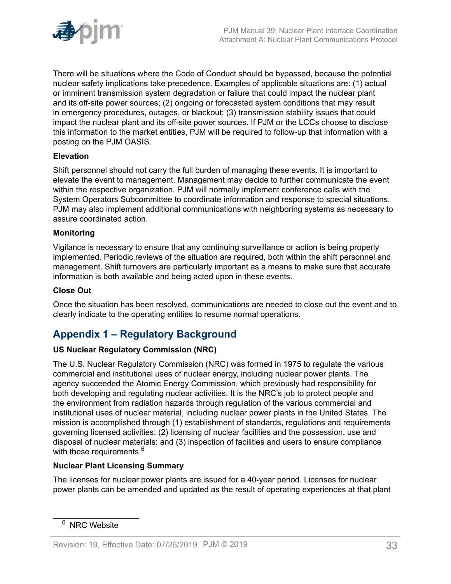

There will be situations where the Code of Conduct should be bypassed, because the potential nuclear safety implications take precedence. Examples of applicable situations are: (1) actual or imminent transmission system degradation or failure that could impact the nuclear plant and its off-site power sources; (2) ongoing or forecasted system conditions that may result in emergency procedures, outages, or blackout; (3) transmission stability issues that could impact the nuclear plant and its off-site power sources. If PJM or the LCCs choose to disclose this information to the market entiti*e*s, PJM will be required to follow-up that information with a posting on the PJM OASIS.

## **Elevation**

Shift personnel should not carry the full burden of managing these events. It is important to elevate the event to management. Management may decide to further communicate the event within the respective organization. PJM will normally implement conference calls with the System Operators Subcommittee to coordinate information and response to special situations. PJM may also implement additional communications with neighboring systems as necessary to assure coordinated action.

## **Monitoring**

Vigilance is necessary to ensure that any continuing surveillance or action is being properly implemented. Periodic reviews of the situation are required, both within the shift personnel and management. Shift turnovers are particularly important as a means to make sure that accurate information is both available and being acted upon in these events.

### **Close Out**

Once the situation has been resolved, communications are needed to close out the event and to clearly indicate to the operating entities to resume normal operations.

## <span id="page-32-0"></span>**Appendix 1 – Regulatory Background**

## **US Nuclear Regulatory Commission (NRC)**

The U.S. Nuclear Regulatory Commission (NRC) was formed in 1975 to regulate the various commercial and institutional uses of nuclear energy, including nuclear power plants. The agency succeeded the Atomic Energy Commission, which previously had responsibility for both developing and regulating nuclear activities. It is the NRC's job to protect people and the environment from radiation hazards through regulation of the various commercial and institutional uses of nuclear material, including nuclear power plants in the United States. The mission is accomplished through (1) establishment of standards, regulations and requirements governing licensed activities: (2) licensing of nuclear facilities and the possession, use and disposal of nuclear materials: and (3) inspection of facilities and users to ensure compliance with these requirements.<sup>6</sup>

## **Nuclear Plant Licensing Summary**

The licenses for nuclear power plants are issued for a 40-year period. Licenses for nuclear power plants can be amended and updated as the result of operating experiences at that plant

<sup>&</sup>lt;sup>6</sup> NRC Website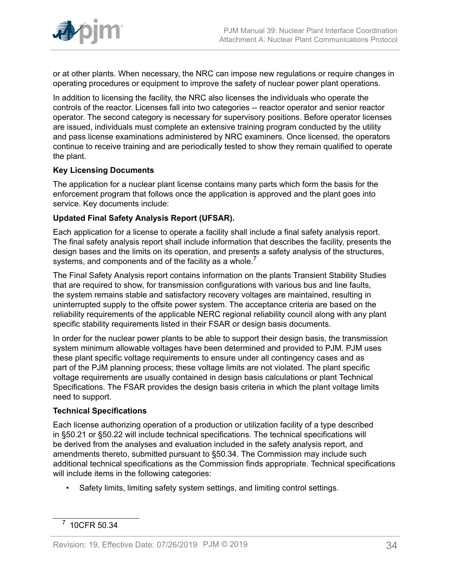

or at other plants. When necessary, the NRC can impose new regulations or require changes in operating procedures or equipment to improve the safety of nuclear power plant operations.

In addition to licensing the facility, the NRC also licenses the individuals who operate the controls of the reactor. Licenses fall into two categories -- reactor operator and senior reactor operator. The second category is necessary for supervisory positions. Before operator licenses are issued, individuals must complete an extensive training program conducted by the utility and pass license examinations administered by NRC examiners. Once licensed, the operators continue to receive training and are periodically tested to show they remain qualified to operate the plant.

## **Key Licensing Documents**

The application for a nuclear plant license contains many parts which form the basis for the enforcement program that follows once the application is approved and the plant goes into service. Key documents include:

## **Updated Final Safety Analysis Report (UFSAR).**

Each application for a license to operate a facility shall include a final safety analysis report. The final safety analysis report shall include information that describes the facility, presents the design bases and the limits on its operation, and presents a safety analysis of the structures, systems, and components and of the facility as a whole.<sup>7</sup>

The Final Safety Analysis report contains information on the plants Transient Stability Studies that are required to show, for transmission configurations with various bus and line faults, the system remains stable and satisfactory recovery voltages are maintained, resulting in uninterrupted supply to the offsite power system. The acceptance criteria are based on the reliability requirements of the applicable NERC regional reliability council along with any plant specific stability requirements listed in their FSAR or design basis documents.

In order for the nuclear power plants to be able to support their design basis, the transmission system minimum allowable voltages have been determined and provided to PJM. PJM uses these plant specific voltage requirements to ensure under all contingency cases and as part of the PJM planning process; these voltage limits are not violated. The plant specific voltage requirements are usually contained in design basis calculations or plant Technical Specifications. The FSAR provides the design basis criteria in which the plant voltage limits need to support.

## **Technical Specifications**

Each license authorizing operation of a production or utilization facility of a type described in §50.21 or §50.22 will include technical specifications. The technical specifications will be derived from the analyses and evaluation included in the safety analysis report, and amendments thereto, submitted pursuant to §50.34. The Commission may include such additional technical specifications as the Commission finds appropriate. Technical specifications will include items in the following categories:

• Safety limits, limiting safety system settings, and limiting control settings.

<sup>7</sup> 10CFR 50.34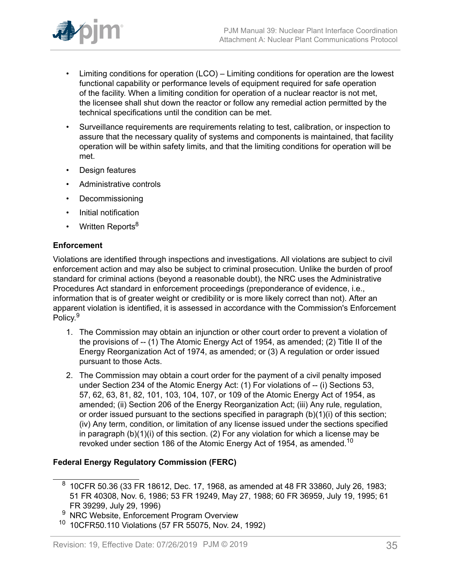

- Limiting conditions for operation (LCO) Limiting conditions for operation are the lowest functional capability or performance levels of equipment required for safe operation of the facility. When a limiting condition for operation of a nuclear reactor is not met, the licensee shall shut down the reactor or follow any remedial action permitted by the technical specifications until the condition can be met.
- Surveillance requirements are requirements relating to test, calibration, or inspection to assure that the necessary quality of systems and components is maintained, that facility operation will be within safety limits, and that the limiting conditions for operation will be met.
- Design features
- Administrative controls
- Decommissioning
- Initial notification
- Written Reports<sup>8</sup>

## **Enforcement**

Violations are identified through inspections and investigations. All violations are subject to civil enforcement action and may also be subject to criminal prosecution. Unlike the burden of proof standard for criminal actions (beyond a reasonable doubt), the NRC uses the Administrative Procedures Act standard in enforcement proceedings (preponderance of evidence, i.e., information that is of greater weight or credibility or is more likely correct than not). After an apparent violation is identified, it is assessed in accordance with the Commission's Enforcement Policy.<sup>9</sup>

- 1. The Commission may obtain an injunction or other court order to prevent a violation of the provisions of -- (1) The Atomic Energy Act of 1954, as amended; (2) Title II of the Energy Reorganization Act of 1974, as amended; or (3) A regulation or order issued pursuant to those Acts.
- 2. The Commission may obtain a court order for the payment of a civil penalty imposed under Section 234 of the Atomic Energy Act: (1) For violations of -- (i) Sections 53, 57, 62, 63, 81, 82, 101, 103, 104, 107, or 109 of the Atomic Energy Act of 1954, as amended; (ii) Section 206 of the Energy Reorganization Act; (iii) Any rule, regulation, or order issued pursuant to the sections specified in paragraph (b)(1)(i) of this section; (iv) Any term, condition, or limitation of any license issued under the sections specified in paragraph (b)(1)(i) of this section. (2) For any violation for which a license may be revoked under section 186 of the Atomic Energy Act of 1954, as amended.<sup>10</sup>

## **Federal Energy Regulatory Commission (FERC)**

 $^8\,$  10CFR 50.36 (33 FR 18612, Dec. 17, 1968, as amended at 48 FR 33860, July 26, 1983; 51 FR 40308, Nov. 6, 1986; 53 FR 19249, May 27, 1988; 60 FR 36959, July 19, 1995; 61 FR 39299, July 29, 1996)

NRC Website, Enforcement Program Overview

<sup>10</sup> 10CFR50.110 Violations (57 FR 55075, Nov. 24, 1992)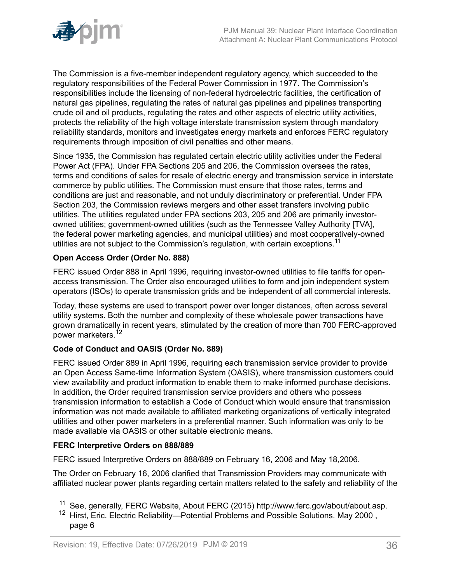

The Commission is a five-member independent regulatory agency, which succeeded to the regulatory responsibilities of the Federal Power Commission in 1977. The Commission's responsibilities include the licensing of non-federal hydroelectric facilities, the certification of natural gas pipelines, regulating the rates of natural gas pipelines and pipelines transporting crude oil and oil products, regulating the rates and other aspects of electric utility activities, protects the reliability of the high voltage interstate transmission system through mandatory reliability standards, monitors and investigates energy markets and enforces FERC regulatory requirements through imposition of civil penalties and other means.

Since 1935, the Commission has regulated certain electric utility activities under the Federal Power Act (FPA). Under FPA Sections 205 and 206, the Commission oversees the rates, terms and conditions of sales for resale of electric energy and transmission service in interstate commerce by public utilities. The Commission must ensure that those rates, terms and conditions are just and reasonable, and not unduly discriminatory or preferential. Under FPA Section 203, the Commission reviews mergers and other asset transfers involving public utilities. The utilities regulated under FPA sections 203, 205 and 206 are primarily investorowned utilities; government-owned utilities (such as the Tennessee Valley Authority [TVA], the federal power marketing agencies, and municipal utilities) and most cooperatively-owned utilities are not subject to the Commission's regulation, with certain exceptions.<sup>11</sup>

## **Open Access Order (Order No. 888)**

FERC issued Order 888 in April 1996, requiring investor-owned utilities to file tariffs for openaccess transmission. The Order also encouraged utilities to form and join independent system operators (ISOs) to operate transmission grids and be independent of all commercial interests.

Today, these systems are used to transport power over longer distances, often across several utility systems. Both the number and complexity of these wholesale power transactions have grown dramatically in recent years, stimulated by the creation of more than 700 FERC-approved power marketers.<sup>12</sup>

## **Code of Conduct and OASIS (Order No. 889)**

FERC issued Order 889 in April 1996, requiring each transmission service provider to provide an Open Access Same-time Information System (OASIS), where transmission customers could view availability and product information to enable them to make informed purchase decisions. In addition, the Order required transmission service providers and others who possess transmission information to establish a Code of Conduct which would ensure that transmission information was not made available to affiliated marketing organizations of vertically integrated utilities and other power marketers in a preferential manner. Such information was only to be made available via OASIS or other suitable electronic means.

## **FERC Interpretive Orders on 888/889**

FERC issued Interpretive Orders on 888/889 on February 16, 2006 and May 18,2006.

The Order on February 16, 2006 clarified that Transmission Providers may communicate with affiliated nuclear power plants regarding certain matters related to the safety and reliability of the

<sup>&</sup>lt;sup>11</sup> See, generally, FERC Website, About FERC (2015) http://www.ferc.gov/about/about.asp.

<sup>&</sup>lt;sup>12</sup> Hirst, Eric. Electric Reliability—Potential Problems and Possible Solutions. May 2000, page 6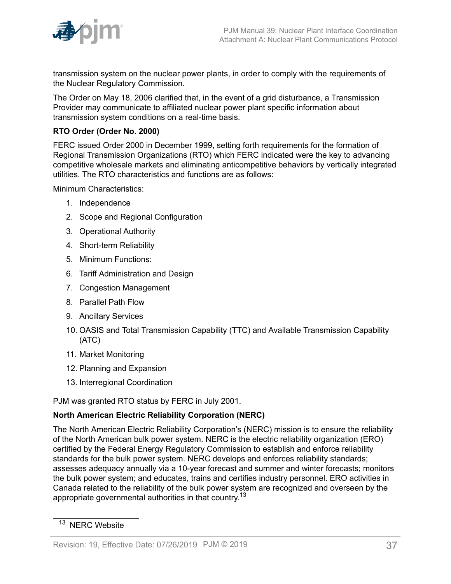

transmission system on the nuclear power plants, in order to comply with the requirements of the Nuclear Regulatory Commission.

The Order on May 18, 2006 clarified that, in the event of a grid disturbance, a Transmission Provider may communicate to affiliated nuclear power plant specific information about transmission system conditions on a real-time basis.

## **RTO Order (Order No. 2000)**

FERC issued Order 2000 in December 1999, setting forth requirements for the formation of Regional Transmission Organizations (RTO) which FERC indicated were the key to advancing competitive wholesale markets and eliminating anticompetitive behaviors by vertically integrated utilities. The RTO characteristics and functions are as follows:

Minimum Characteristics:

- 1. Independence
- 2. Scope and Regional Configuration
- 3. Operational Authority
- 4. Short-term Reliability
- 5. Minimum Functions:
- 6. Tariff Administration and Design
- 7. Congestion Management
- 8. Parallel Path Flow
- 9. Ancillary Services
- 10. OASIS and Total Transmission Capability (TTC) and Available Transmission Capability (ATC)
- 11. Market Monitoring
- 12. Planning and Expansion
- 13. Interregional Coordination

PJM was granted RTO status by FERC in July 2001.

## **North American Electric Reliability Corporation (NERC)**

The North American Electric Reliability Corporation's (NERC) mission is to ensure the reliability of the North American bulk power system. NERC is the electric reliability organization (ERO) certified by the Federal Energy Regulatory Commission to establish and enforce reliability standards for the bulk power system. NERC develops and enforces reliability standards; assesses adequacy annually via a 10-year forecast and summer and winter forecasts; monitors the bulk power system; and educates, trains and certifies industry personnel. ERO activities in Canada related to the reliability of the bulk power system are recognized and overseen by the appropriate governmental authorities in that country.<sup>13</sup>

<sup>&</sup>lt;sup>13</sup> NERC Website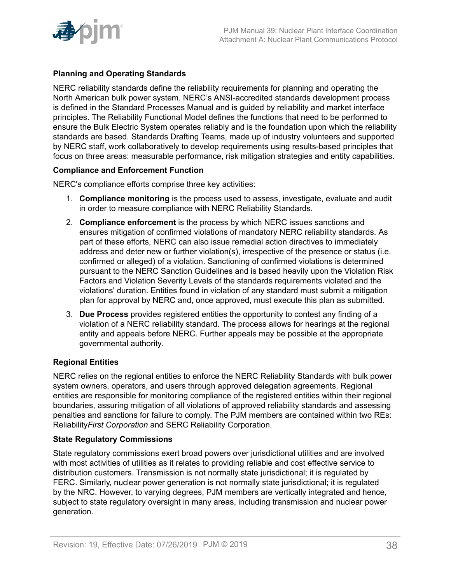

## **Planning and Operating Standards**

NERC reliability standards define the reliability requirements for planning and operating the North American bulk power system. NERC's ANSI-accredited standards development process is defined in the Standard Processes Manual and is guided by reliability and market interface principles. The Reliability Functional Model defines the functions that need to be performed to ensure the Bulk Electric System operates reliably and is the foundation upon which the reliability standards are based. Standards Drafting Teams, made up of industry volunteers and supported by NERC staff, work collaboratively to develop requirements using results-based principles that focus on three areas: measurable performance, risk mitigation strategies and entity capabilities.

## **Compliance and Enforcement Function**

NERC's compliance efforts comprise three key activities:

- 1. **Compliance monitoring** is the process used to assess, investigate, evaluate and audit in order to measure compliance with NERC Reliability Standards.
- 2. **Compliance enforcement** is the process by which NERC issues sanctions and ensures mitigation of confirmed violations of mandatory NERC reliability standards. As part of these efforts, NERC can also issue remedial action directives to immediately address and deter new or further violation(s), irrespective of the presence or status (i.e. confirmed or alleged) of a violation. Sanctioning of confirmed violations is determined pursuant to the NERC Sanction Guidelines and is based heavily upon the Violation Risk Factors and Violation Severity Levels of the standards requirements violated and the violations' duration. Entities found in violation of any standard must submit a mitigation plan for approval by NERC and, once approved, must execute this plan as submitted.
- 3. **Due Process** provides registered entities the opportunity to contest any finding of a violation of a NERC reliability standard. The process allows for hearings at the regional entity and appeals before NERC. Further appeals may be possible at the appropriate governmental authority.

## **Regional Entities**

NERC relies on the regional entities to enforce the NERC Reliability Standards with bulk power system owners, operators, and users through approved delegation agreements. Regional entities are responsible for monitoring compliance of the registered entities within their regional boundaries, assuring mitigation of all violations of approved reliability standards and assessing penalties and sanctions for failure to comply. The PJM members are contained within two REs: Reliability*First Corporation* and SERC Reliability Corporation.

## **State Regulatory Commissions**

State regulatory commissions exert broad powers over jurisdictional utilities and are involved with most activities of utilities as it relates to providing reliable and cost effective service to distribution customers. Transmission is not normally state jurisdictional; it is regulated by FERC. Similarly, nuclear power generation is not normally state jurisdictional; it is regulated by the NRC. However, to varying degrees, PJM members are vertically integrated and hence, subject to state regulatory oversight in many areas, including transmission and nuclear power generation.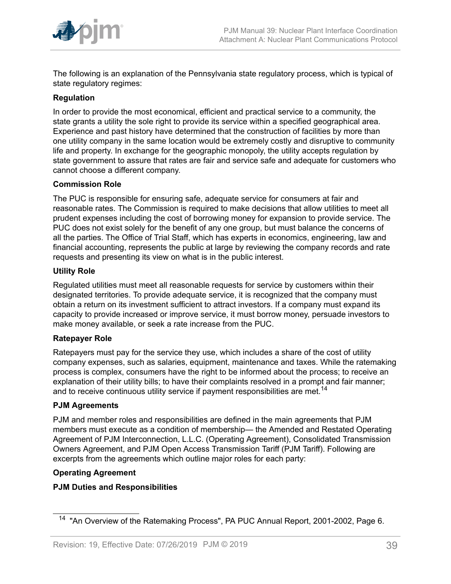

The following is an explanation of the Pennsylvania state regulatory process, which is typical of state regulatory regimes:

## **Regulation**

In order to provide the most economical, efficient and practical service to a community, the state grants a utility the sole right to provide its service within a specified geographical area. Experience and past history have determined that the construction of facilities by more than one utility company in the same location would be extremely costly and disruptive to community life and property. In exchange for the geographic monopoly, the utility accepts regulation by state government to assure that rates are fair and service safe and adequate for customers who cannot choose a different company.

## **Commission Role**

The PUC is responsible for ensuring safe, adequate service for consumers at fair and reasonable rates. The Commission is required to make decisions that allow utilities to meet all prudent expenses including the cost of borrowing money for expansion to provide service. The PUC does not exist solely for the benefit of any one group, but must balance the concerns of all the parties. The Office of Trial Staff, which has experts in economics, engineering, law and financial accounting, represents the public at large by reviewing the company records and rate requests and presenting its view on what is in the public interest.

## **Utility Role**

Regulated utilities must meet all reasonable requests for service by customers within their designated territories. To provide adequate service, it is recognized that the company must obtain a return on its investment sufficient to attract investors. If a company must expand its capacity to provide increased or improve service, it must borrow money, persuade investors to make money available, or seek a rate increase from the PUC.

## **Ratepayer Role**

Ratepayers must pay for the service they use, which includes a share of the cost of utility company expenses, such as salaries, equipment, maintenance and taxes. While the ratemaking process is complex, consumers have the right to be informed about the process; to receive an explanation of their utility bills; to have their complaints resolved in a prompt and fair manner; and to receive continuous utility service if payment responsibilities are met.<sup>14</sup>

## **PJM Agreements**

PJM and member roles and responsibilities are defined in the main agreements that PJM members must execute as a condition of membership— the Amended and Restated Operating Agreement of PJM Interconnection, L.L.C. (Operating Agreement), Consolidated Transmission Owners Agreement, and PJM Open Access Transmission Tariff (PJM Tariff). Following are excerpts from the agreements which outline major roles for each party:

## **Operating Agreement**

## **PJM Duties and Responsibilities**

<sup>&</sup>lt;sup>14</sup> "An Overview of the Ratemaking Process", PA PUC Annual Report, 2001-2002, Page 6.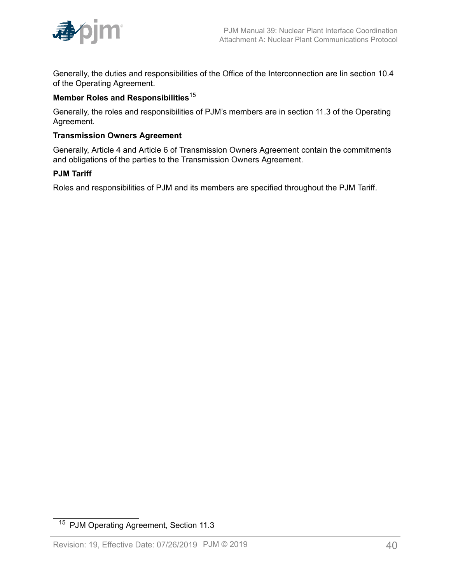

Generally, the duties and responsibilities of the Office of the Interconnection are lin section 10.4 of the Operating Agreement.

## **Member Roles and Responsibilities**<sup>15</sup>

Generally, the roles and responsibilities of PJM's members are in section 11.3 of the Operating Agreement.

## **Transmission Owners Agreement**

Generally, Article 4 and Article 6 of Transmission Owners Agreement contain the commitments and obligations of the parties to the Transmission Owners Agreement.

## **PJM Tariff**

Roles and responsibilities of PJM and its members are specified throughout the PJM Tariff.

<sup>15</sup> PJM Operating Agreement, Section 11.3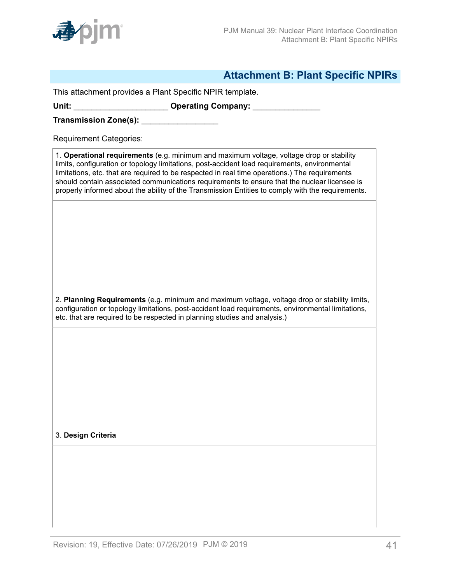

## <span id="page-40-0"></span>**Attachment B: Plant Specific NPIRs**

This attachment provides a Plant Specific NPIR template.

Unit: \_\_\_\_\_\_\_\_\_\_\_\_\_\_\_\_\_\_\_\_\_\_\_\_\_ Operating Company: \_\_\_\_\_\_\_\_\_\_\_\_\_\_\_\_\_\_\_\_\_\_\_\_\_\_\_\_\_\_

**Transmission Zone(s):** \_\_\_\_\_\_\_\_\_\_\_\_\_\_\_\_\_

Requirement Categories:

1. **Operational requirements** (e.g. minimum and maximum voltage, voltage drop or stability limits, configuration or topology limitations, post-accident load requirements, environmental limitations, etc. that are required to be respected in real time operations.) The requirements should contain associated communications requirements to ensure that the nuclear licensee is properly informed about the ability of the Transmission Entities to comply with the requirements.

2. **Planning Requirements** (e.g. minimum and maximum voltage, voltage drop or stability limits, configuration or topology limitations, post-accident load requirements, environmental limitations, etc. that are required to be respected in planning studies and analysis.)

3. **Design Criteria**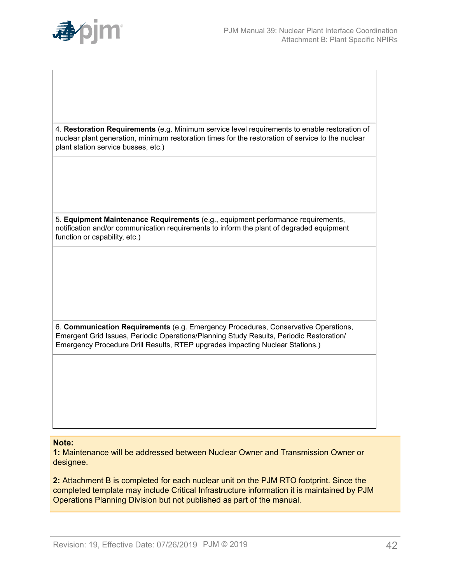

4. **Restoration Requirements** (e.g. Minimum service level requirements to enable restoration of nuclear plant generation, minimum restoration times for the restoration of service to the nuclear plant station service busses, etc.)

5. **Equipment Maintenance Requirements** (e.g., equipment performance requirements, notification and/or communication requirements to inform the plant of degraded equipment function or capability, etc.)

6. **Communication Requirements** (e.g. Emergency Procedures, Conservative Operations, Emergent Grid Issues, Periodic Operations/Planning Study Results, Periodic Restoration/ Emergency Procedure Drill Results, RTEP upgrades impacting Nuclear Stations.)

#### **Note:**

**1:** Maintenance will be addressed between Nuclear Owner and Transmission Owner or designee.

**2:** Attachment B is completed for each nuclear unit on the PJM RTO footprint. Since the completed template may include Critical Infrastructure information it is maintained by PJM Operations Planning Division but not published as part of the manual.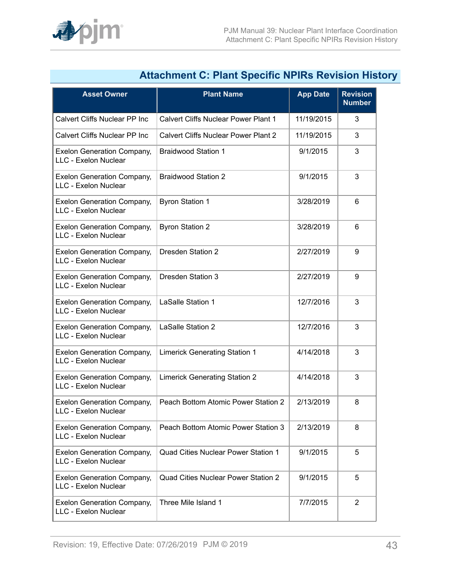

| Attachment C: Plant Specific NPIRS Revision Histo         |                                             |                 |                                  |
|-----------------------------------------------------------|---------------------------------------------|-----------------|----------------------------------|
| <b>Asset Owner</b>                                        | <b>Plant Name</b>                           | <b>App Date</b> | <b>Revision</b><br><b>Number</b> |
| <b>Calvert Cliffs Nuclear PP Inc</b>                      | Calvert Cliffs Nuclear Power Plant 1        | 11/19/2015      | 3                                |
| Calvert Cliffs Nuclear PP Inc                             | <b>Calvert Cliffs Nuclear Power Plant 2</b> | 11/19/2015      | 3                                |
| <b>Exelon Generation Company,</b><br>LLC - Exelon Nuclear | <b>Braidwood Station 1</b>                  | 9/1/2015        | 3                                |
| <b>Exelon Generation Company,</b><br>LLC - Exelon Nuclear | <b>Braidwood Station 2</b>                  | 9/1/2015        | 3                                |
| <b>Exelon Generation Company,</b><br>LLC - Exelon Nuclear | <b>Byron Station 1</b>                      | 3/28/2019       | 6                                |
| <b>Exelon Generation Company,</b><br>LLC - Exelon Nuclear | <b>Byron Station 2</b>                      | 3/28/2019       | 6                                |
| <b>Exelon Generation Company,</b><br>LLC - Exelon Nuclear | Dresden Station 2                           | 2/27/2019       | 9                                |
| <b>Exelon Generation Company,</b><br>LLC - Exelon Nuclear | Dresden Station 3                           | 2/27/2019       | 9                                |
| <b>Exelon Generation Company,</b><br>LLC - Exelon Nuclear | LaSalle Station 1                           | 12/7/2016       | 3                                |
| <b>Exelon Generation Company,</b><br>LLC - Exelon Nuclear | LaSalle Station 2                           | 12/7/2016       | 3                                |
| <b>Exelon Generation Company,</b><br>LLC - Exelon Nuclear | <b>Limerick Generating Station 1</b>        | 4/14/2018       | 3                                |
| <b>Exelon Generation Company,</b><br>LLC - Exelon Nuclear | <b>Limerick Generating Station 2</b>        | 4/14/2018       | 3                                |
| <b>Exelon Generation Company,</b><br>LLC - Exelon Nuclear | Peach Bottom Atomic Power Station 2         | 2/13/2019       | 8                                |
| <b>Exelon Generation Company,</b><br>LLC - Exelon Nuclear | Peach Bottom Atomic Power Station 3         | 2/13/2019       | 8                                |
| <b>Exelon Generation Company,</b><br>LLC - Exelon Nuclear | <b>Quad Cities Nuclear Power Station 1</b>  | 9/1/2015        | 5                                |
| <b>Exelon Generation Company,</b><br>LLC - Exelon Nuclear | <b>Quad Cities Nuclear Power Station 2</b>  | 9/1/2015        | 5                                |
| <b>Exelon Generation Company,</b><br>LLC - Exelon Nuclear | Three Mile Island 1                         | 7/7/2015        | 2                                |

## <span id="page-42-0"></span>**Attachment C: Plant Specific NPIRs Revision History**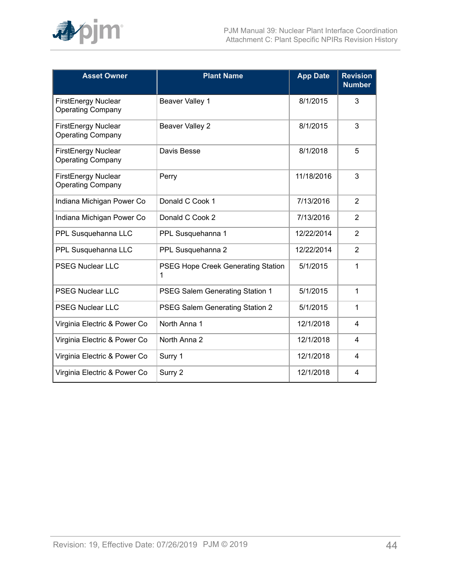

| <b>Asset Owner</b>                                     | <b>Plant Name</b>                       | <b>App Date</b> | <b>Revision</b><br><b>Number</b> |
|--------------------------------------------------------|-----------------------------------------|-----------------|----------------------------------|
| <b>FirstEnergy Nuclear</b><br><b>Operating Company</b> | Beaver Valley 1                         | 8/1/2015        | 3                                |
| <b>FirstEnergy Nuclear</b><br><b>Operating Company</b> | Beaver Valley 2                         | 8/1/2015        | 3                                |
| <b>FirstEnergy Nuclear</b><br><b>Operating Company</b> | Davis Besse                             | 8/1/2018        | 5                                |
| <b>FirstEnergy Nuclear</b><br><b>Operating Company</b> | Perry                                   | 11/18/2016      | 3                                |
| Indiana Michigan Power Co                              | Donald C Cook 1                         | 7/13/2016       | $\overline{2}$                   |
| Indiana Michigan Power Co                              | Donald C Cook 2                         | 7/13/2016       | 2                                |
| PPL Susquehanna LLC                                    | PPL Susquehanna 1                       | 12/22/2014      | 2                                |
| PPL Susquehanna LLC                                    | PPL Susquehanna 2                       | 12/22/2014      | $\overline{2}$                   |
| <b>PSEG Nuclear LLC</b>                                | PSEG Hope Creek Generating Station<br>1 | 5/1/2015        | 1                                |
| <b>PSEG Nuclear LLC</b>                                | PSEG Salem Generating Station 1         | 5/1/2015        | 1                                |
| <b>PSEG Nuclear LLC</b>                                | PSEG Salem Generating Station 2         | 5/1/2015        | 1                                |
| Virginia Electric & Power Co                           | North Anna 1                            | 12/1/2018       | 4                                |
| Virginia Electric & Power Co                           | North Anna 2                            | 12/1/2018       | 4                                |
| Virginia Electric & Power Co                           | Surry 1                                 | 12/1/2018       | 4                                |
| Virginia Electric & Power Co                           | Surry 2                                 | 12/1/2018       | 4                                |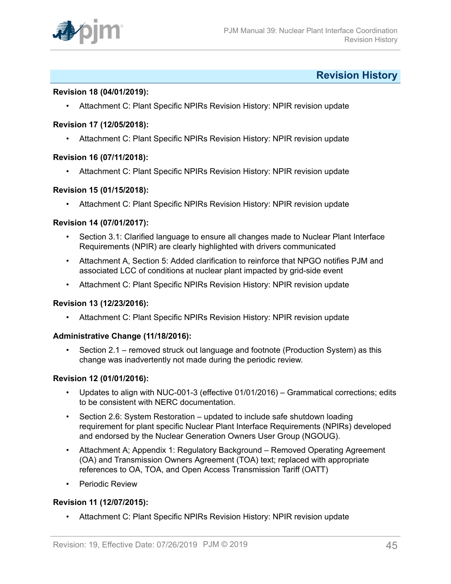

## <span id="page-44-0"></span>**Revision History**

### **Revision 18 (04/01/2019):**

• Attachment C: Plant Specific NPIRs Revision History: NPIR revision update

#### **Revision 17 (12/05/2018):**

• Attachment C: Plant Specific NPIRs Revision History: NPIR revision update

#### **Revision 16 (07/11/2018):**

• Attachment C: Plant Specific NPIRs Revision History: NPIR revision update

#### **Revision 15 (01/15/2018):**

• Attachment C: Plant Specific NPIRs Revision History: NPIR revision update

#### **Revision 14 (07/01/2017):**

- Section 3.1: Clarified language to ensure all changes made to Nuclear Plant Interface Requirements (NPIR) are clearly highlighted with drivers communicated
- Attachment A, Section 5: Added clarification to reinforce that NPGO notifies PJM and associated LCC of conditions at nuclear plant impacted by grid-side event
- Attachment C: Plant Specific NPIRs Revision History: NPIR revision update

#### **Revision 13 (12/23/2016):**

• Attachment C: Plant Specific NPIRs Revision History: NPIR revision update

## **Administrative Change (11/18/2016):**

• Section 2.1 – removed struck out language and footnote (Production System) as this change was inadvertently not made during the periodic review.

#### **Revision 12 (01/01/2016):**

- Updates to align with NUC-001-3 (effective 01/01/2016) Grammatical corrections; edits to be consistent with NERC documentation.
- Section 2.6: System Restoration updated to include safe shutdown loading requirement for plant specific Nuclear Plant Interface Requirements (NPIRs) developed and endorsed by the Nuclear Generation Owners User Group (NGOUG).
- Attachment A; Appendix 1: Regulatory Background Removed Operating Agreement (OA) and Transmission Owners Agreement (TOA) text; replaced with appropriate references to OA, TOA, and Open Access Transmission Tariff (OATT)
- Periodic Review

## **Revision 11 (12/07/2015):**

• Attachment C: Plant Specific NPIRs Revision History: NPIR revision update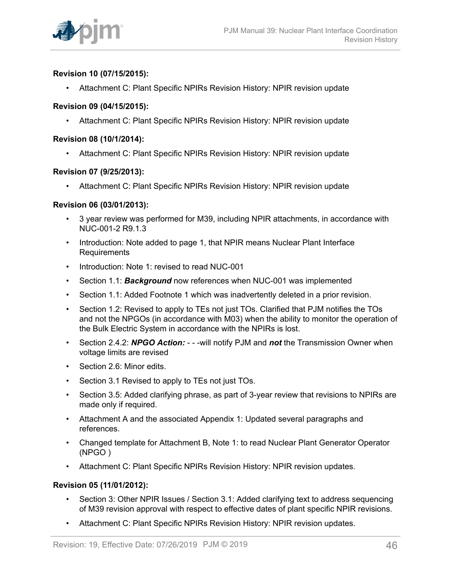

## **Revision 10 (07/15/2015):**

• Attachment C: Plant Specific NPIRs Revision History: NPIR revision update

## **Revision 09 (04/15/2015):**

• Attachment C: Plant Specific NPIRs Revision History: NPIR revision update

### **Revision 08 (10/1/2014):**

• Attachment C: Plant Specific NPIRs Revision History: NPIR revision update

#### **Revision 07 (9/25/2013):**

• Attachment C: Plant Specific NPIRs Revision History: NPIR revision update

#### **Revision 06 (03/01/2013):**

- 3 year review was performed for M39, including NPIR attachments, in accordance with NUC-001-2 R9.1.3
- Introduction: Note added to page 1, that NPIR means Nuclear Plant Interface Requirements
- Introduction: Note 1: revised to read NUC-001
- Section 1.1: *Background* now references when NUC-001 was implemented
- Section 1.1: Added Footnote 1 which was inadvertently deleted in a prior revision.
- Section 1.2: Revised to apply to TEs not just TOs. Clarified that PJM notifies the TOs and not the NPGOs (in accordance with M03) when the ability to monitor the operation of the Bulk Electric System in accordance with the NPIRs is lost.
- Section 2.4.2: *NPGO Action:*  - -will notify PJM and *not* the Transmission Owner when voltage limits are revised
- Section 2.6: Minor edits.
- Section 3.1 Revised to apply to TEs not just TOs.
- Section 3.5: Added clarifying phrase, as part of 3-year review that revisions to NPIRs are made only if required.
- Attachment A and the associated Appendix 1: Updated several paragraphs and references.
- Changed template for Attachment B, Note 1: to read Nuclear Plant Generator Operator (NPGO )
- Attachment C: Plant Specific NPIRs Revision History: NPIR revision updates.

## **Revision 05 (11/01/2012):**

- Section 3: Other NPIR Issues / Section 3.1: Added clarifying text to address sequencing of M39 revision approval with respect to effective dates of plant specific NPIR revisions.
- Attachment C: Plant Specific NPIRs Revision History: NPIR revision updates.